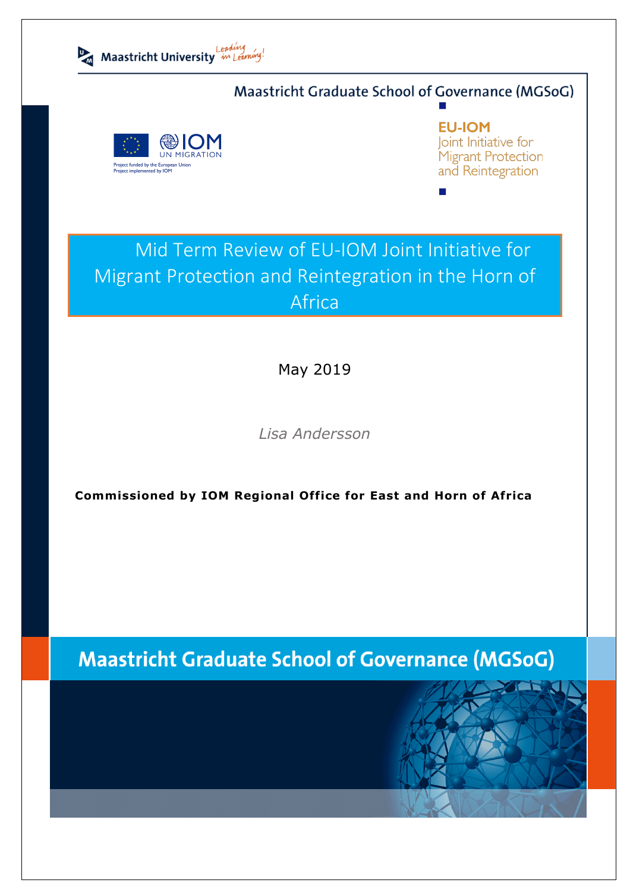

# Maastricht Graduate School of Governance (MGSoG)



**EU-IOM** Joint Initiative for Migrant Protection and Reintegration

# Mid Term Review of EU-IOM Joint Initiative for Migrant Protection and Reintegration in the Horn of Africa

May 2019

*Lisa Andersson* 

**Commissioned by IOM Regional Office for East and Horn of Africa**

# **Maastricht Graduate School of Governance (MGSoG)**

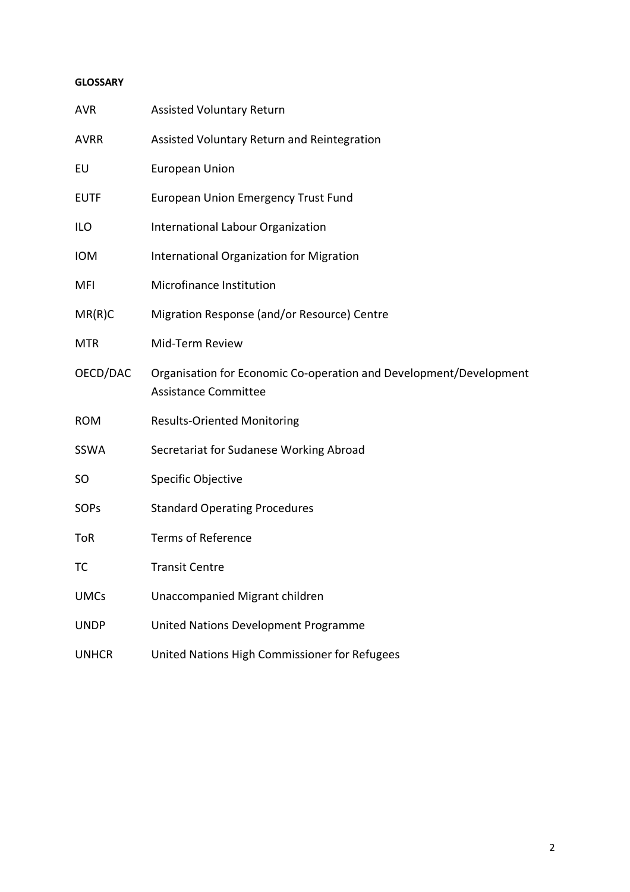#### **GLOSSARY**

| <b>AVR</b>   | <b>Assisted Voluntary Return</b>                                                                  |
|--------------|---------------------------------------------------------------------------------------------------|
| <b>AVRR</b>  | Assisted Voluntary Return and Reintegration                                                       |
| EU           | <b>European Union</b>                                                                             |
| <b>EUTF</b>  | <b>European Union Emergency Trust Fund</b>                                                        |
| <b>ILO</b>   | International Labour Organization                                                                 |
| <b>IOM</b>   | International Organization for Migration                                                          |
| MFI          | Microfinance Institution                                                                          |
| MR(R)C       | Migration Response (and/or Resource) Centre                                                       |
| <b>MTR</b>   | Mid-Term Review                                                                                   |
| OECD/DAC     | Organisation for Economic Co-operation and Development/Development<br><b>Assistance Committee</b> |
| <b>ROM</b>   | <b>Results-Oriented Monitoring</b>                                                                |
| SSWA         | Secretariat for Sudanese Working Abroad                                                           |
| SO           | Specific Objective                                                                                |
| SOPs         | <b>Standard Operating Procedures</b>                                                              |
| <b>ToR</b>   | <b>Terms of Reference</b>                                                                         |
| ТC           | <b>Transit Centre</b>                                                                             |
| <b>UMCs</b>  | Unaccompanied Migrant children                                                                    |
| <b>UNDP</b>  | United Nations Development Programme                                                              |
| <b>UNHCR</b> | United Nations High Commissioner for Refugees                                                     |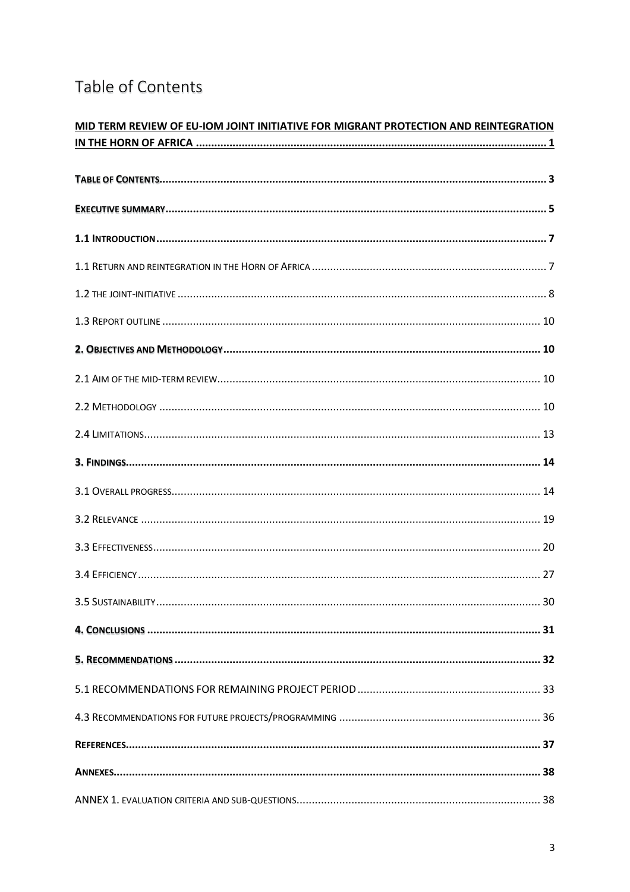# Table of Contents

| MID TERM REVIEW OF EU-IOM JOINT INITIATIVE FOR MIGRANT PROTECTION AND REINTEGRATION |  |  |
|-------------------------------------------------------------------------------------|--|--|
|                                                                                     |  |  |
|                                                                                     |  |  |
|                                                                                     |  |  |
|                                                                                     |  |  |
|                                                                                     |  |  |
|                                                                                     |  |  |
|                                                                                     |  |  |
|                                                                                     |  |  |
|                                                                                     |  |  |
|                                                                                     |  |  |
|                                                                                     |  |  |
|                                                                                     |  |  |
|                                                                                     |  |  |
|                                                                                     |  |  |
|                                                                                     |  |  |
|                                                                                     |  |  |
|                                                                                     |  |  |
|                                                                                     |  |  |
|                                                                                     |  |  |
|                                                                                     |  |  |
|                                                                                     |  |  |
|                                                                                     |  |  |
|                                                                                     |  |  |
|                                                                                     |  |  |
|                                                                                     |  |  |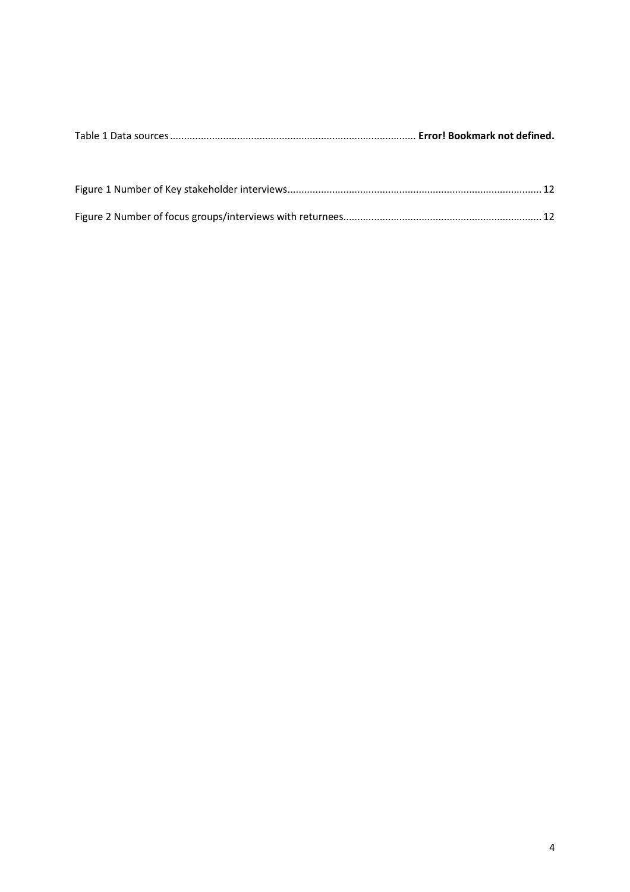|--|--|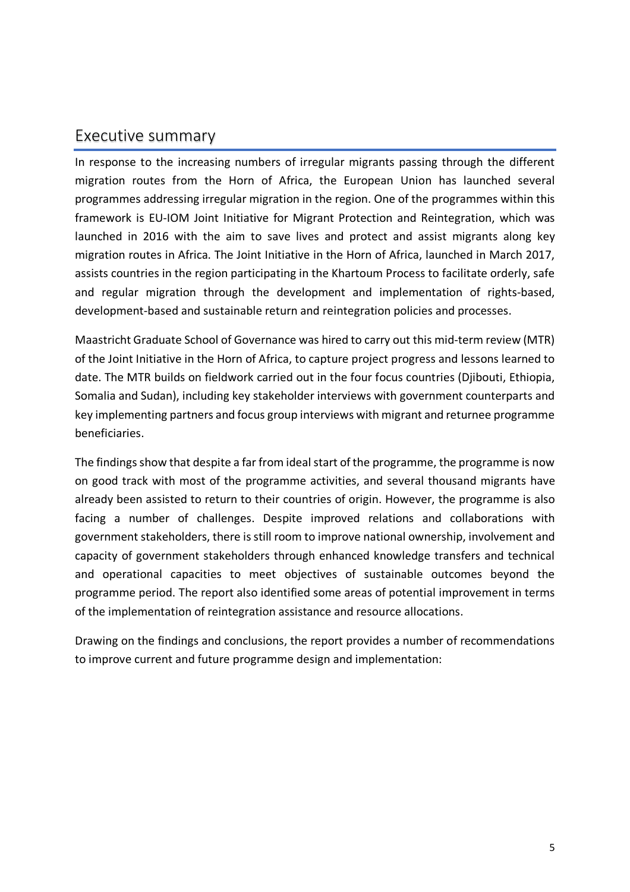# Executive summary

In response to the increasing numbers of irregular migrants passing through the different migration routes from the Horn of Africa, the European Union has launched several programmes addressing irregular migration in the region. One of the programmes within this framework is EU-IOM Joint Initiative for Migrant Protection and Reintegration, which was launched in 2016 with the aim to save lives and protect and assist migrants along key migration routes in Africa. The Joint Initiative in the Horn of Africa, launched in March 2017, assists countries in the region participating in the Khartoum Process to facilitate orderly, safe and regular migration through the development and implementation of rights-based, development-based and sustainable return and reintegration policies and processes.

Maastricht Graduate School of Governance was hired to carry out this mid-term review (MTR) of the Joint Initiative in the Horn of Africa, to capture project progress and lessons learned to date. The MTR builds on fieldwork carried out in the four focus countries (Djibouti, Ethiopia, Somalia and Sudan), including key stakeholder interviews with government counterparts and key implementing partners and focus group interviews with migrant and returnee programme beneficiaries.

The findings show that despite a far from ideal start of the programme, the programme is now on good track with most of the programme activities, and several thousand migrants have already been assisted to return to their countries of origin. However, the programme is also facing a number of challenges. Despite improved relations and collaborations with government stakeholders, there is still room to improve national ownership, involvement and capacity of government stakeholders through enhanced knowledge transfers and technical and operational capacities to meet objectives of sustainable outcomes beyond the programme period. The report also identified some areas of potential improvement in terms of the implementation of reintegration assistance and resource allocations.

Drawing on the findings and conclusions, the report provides a number of recommendations to improve current and future programme design and implementation: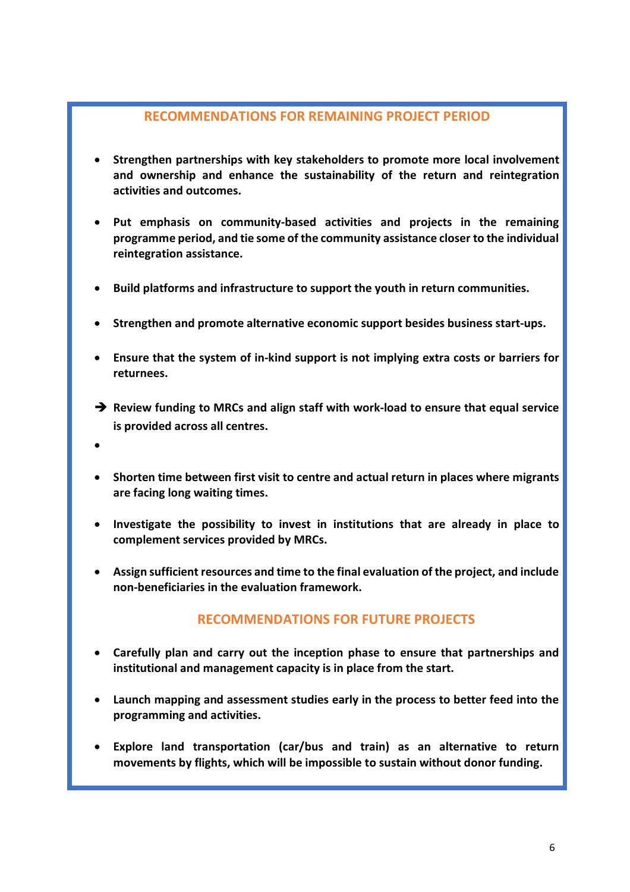### **RECOMMENDATIONS FOR REMAINING PROJECT PERIOD**

- **Strengthen partnerships with key stakeholders to promote more local involvement and ownership and enhance the sustainability of the return and reintegration activities and outcomes.**
- **Put emphasis on community-based activities and projects in the remaining programme period, and tie some of the community assistance closer to the individual reintegration assistance.**
- **Build platforms and infrastructure to support the youth in return communities.**
- **Strengthen and promote alternative economic support besides business start-ups.**
- **Ensure that the system of in-kind support is not implying extra costs or barriers for returnees.**
- è **Review funding to MRCs and align staff with work-load to ensure that equal service is provided across all centres.**
- •
- **Shorten time between first visit to centre and actual return in places where migrants are facing long waiting times.**
- **Investigate the possibility to invest in institutions that are already in place to complement services provided by MRCs.**
- **Assign sufficient resources and time to the final evaluation of the project, and include non-beneficiaries in the evaluation framework.**

## **RECOMMENDATIONS FOR FUTURE PROJECTS**

- **Carefully plan and carry out the inception phase to ensure that partnerships and institutional and management capacity is in place from the start.**
- **Launch mapping and assessment studies early in the process to better feed into the programming and activities.**
- **Explore land transportation (car/bus and train) as an alternative to return movements by flights, which will be impossible to sustain without donor funding.**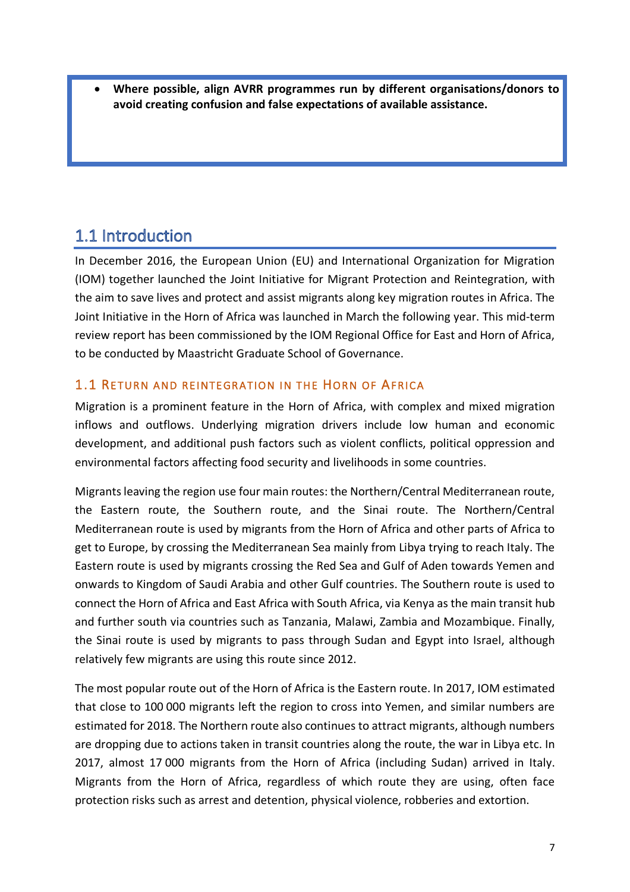• **Where possible, align AVRR programmes run by different organisations/donors to avoid creating confusion and false expectations of available assistance.**

# 1.1 Introduction

In December 2016, the European Union (EU) and International Organization for Migration (IOM) together launched the Joint Initiative for Migrant Protection and Reintegration, with the aim to save lives and protect and assist migrants along key migration routes in Africa. The Joint Initiative in the Horn of Africa was launched in March the following year. This mid-term review report has been commissioned by the IOM Regional Office for East and Horn of Africa, to be conducted by Maastricht Graduate School of Governance.

### 1.1 RETURN AND REINTEGRATION IN THE HORN OF AFRICA

Migration is a prominent feature in the Horn of Africa, with complex and mixed migration inflows and outflows. Underlying migration drivers include low human and economic development, and additional push factors such as violent conflicts, political oppression and environmental factors affecting food security and livelihoods in some countries.

Migrants leaving the region use four main routes: the Northern/Central Mediterranean route, the Eastern route, the Southern route, and the Sinai route. The Northern/Central Mediterranean route is used by migrants from the Horn of Africa and other parts of Africa to get to Europe, by crossing the Mediterranean Sea mainly from Libya trying to reach Italy. The Eastern route is used by migrants crossing the Red Sea and Gulf of Aden towards Yemen and onwards to Kingdom of Saudi Arabia and other Gulf countries. The Southern route is used to connect the Horn of Africa and East Africa with South Africa, via Kenya as the main transit hub and further south via countries such as Tanzania, Malawi, Zambia and Mozambique. Finally, the Sinai route is used by migrants to pass through Sudan and Egypt into Israel, although relatively few migrants are using this route since 2012.

The most popular route out of the Horn of Africa is the Eastern route. In 2017, IOM estimated that close to 100 000 migrants left the region to cross into Yemen, and similar numbers are estimated for 2018. The Northern route also continues to attract migrants, although numbers are dropping due to actions taken in transit countries along the route, the war in Libya etc. In 2017, almost 17 000 migrants from the Horn of Africa (including Sudan) arrived in Italy. Migrants from the Horn of Africa, regardless of which route they are using, often face protection risks such as arrest and detention, physical violence, robberies and extortion.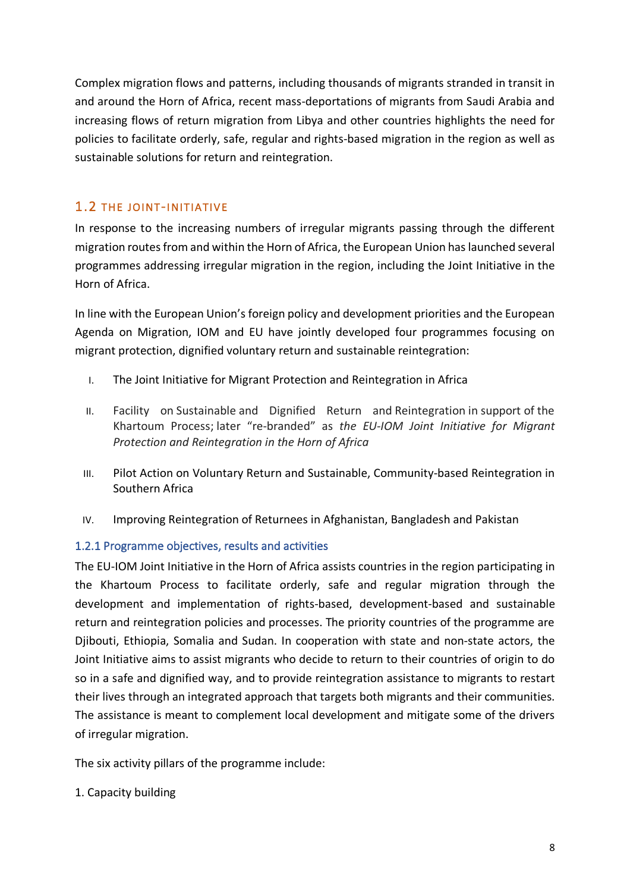Complex migration flows and patterns, including thousands of migrants stranded in transit in and around the Horn of Africa, recent mass-deportations of migrants from Saudi Arabia and increasing flows of return migration from Libya and other countries highlights the need for policies to facilitate orderly, safe, regular and rights-based migration in the region as well as sustainable solutions for return and reintegration.

### 1.2 THE JOINT-INITIATIVE

In response to the increasing numbers of irregular migrants passing through the different migration routes from and within the Horn of Africa, the European Union has launched several programmes addressing irregular migration in the region, including the Joint Initiative in the Horn of Africa.

In line with the European Union's foreign policy and development priorities and the European Agenda on Migration, IOM and EU have jointly developed four programmes focusing on migrant protection, dignified voluntary return and sustainable reintegration:

- I. The Joint Initiative for Migrant Protection and Reintegration in Africa
- II. Facility on Sustainable and Dignified Return and Reintegration in support of the Khartoum Process; later "re-branded" as *the EU-IOM Joint Initiative for Migrant Protection and Reintegration in the Horn of Africa*
- III. Pilot Action on Voluntary Return and Sustainable, Community-based Reintegration in Southern Africa
- IV. Improving Reintegration of Returnees in Afghanistan, Bangladesh and Pakistan

### 1.2.1 Programme objectives, results and activities

The EU-IOM Joint Initiative in the Horn of Africa assists countries in the region participating in the Khartoum Process to facilitate orderly, safe and regular migration through the development and implementation of rights-based, development-based and sustainable return and reintegration policies and processes. The priority countries of the programme are Djibouti, Ethiopia, Somalia and Sudan. In cooperation with state and non-state actors, the Joint Initiative aims to assist migrants who decide to return to their countries of origin to do so in a safe and dignified way, and to provide reintegration assistance to migrants to restart their lives through an integrated approach that targets both migrants and their communities. The assistance is meant to complement local development and mitigate some of the drivers of irregular migration.

The six activity pillars of the programme include:

1. Capacity building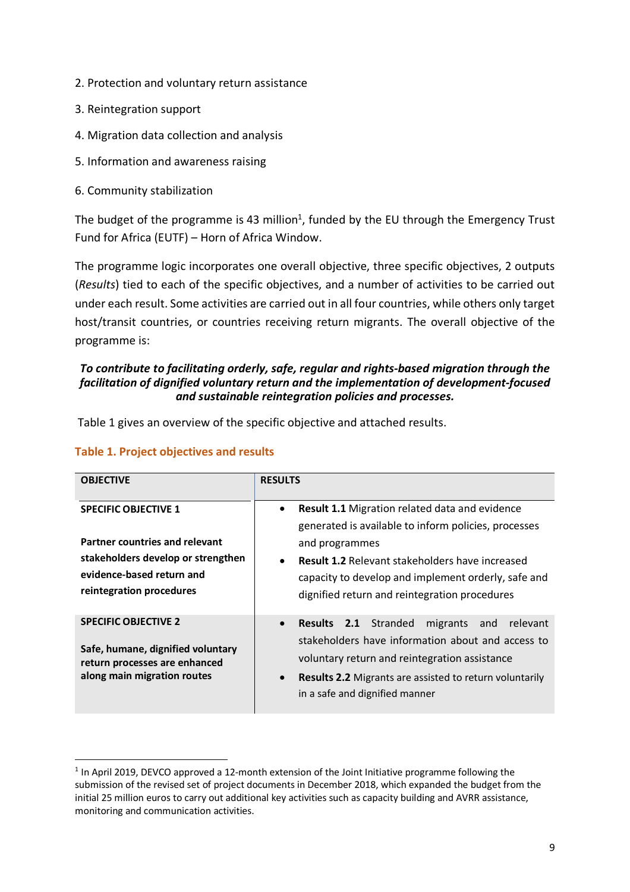- 2. Protection and voluntary return assistance
- 3. Reintegration support
- 4. Migration data collection and analysis
- 5. Information and awareness raising
- 6. Community stabilization

The budget of the programme is 43 million<sup>1</sup>, funded by the EU through the Emergency Trust Fund for Africa (EUTF) – Horn of Africa Window.

The programme logic incorporates one overall objective, three specific objectives, 2 outputs (*Results*) tied to each of the specific objectives, and a number of activities to be carried out under each result. Some activities are carried out in all four countries, while others only target host/transit countries, or countries receiving return migrants. The overall objective of the programme is:

#### *To contribute to facilitating orderly, safe, regular and rights-based migration through the facilitation of dignified voluntary return and the implementation of development-focused and sustainable reintegration policies and processes.*

Table 1 gives an overview of the specific objective and attached results.

#### **Table 1. Project objectives and results**

| <b>OBJECTIVE</b>                                                                                                                                             | <b>RESULTS</b>                                                                                                                                                                                                                                                                                                              |
|--------------------------------------------------------------------------------------------------------------------------------------------------------------|-----------------------------------------------------------------------------------------------------------------------------------------------------------------------------------------------------------------------------------------------------------------------------------------------------------------------------|
| <b>SPECIFIC OBJECTIVE 1</b><br>Partner countries and relevant<br>stakeholders develop or strengthen<br>evidence-based return and<br>reintegration procedures | <b>Result 1.1 Migration related data and evidence</b><br>$\bullet$<br>generated is available to inform policies, processes<br>and programmes<br><b>Result 1.2</b> Relevant stakeholders have increased<br>$\bullet$<br>capacity to develop and implement orderly, safe and<br>dignified return and reintegration procedures |
| <b>SPECIFIC OBJECTIVE 2</b><br>Safe, humane, dignified voluntary<br>return processes are enhanced<br>along main migration routes                             | <b>Results 2.1</b> Stranded<br>migrants and<br>relevant<br>$\bullet$<br>stakeholders have information about and access to<br>voluntary return and reintegration assistance<br><b>Results 2.2</b> Migrants are assisted to return voluntarily<br>$\bullet$<br>in a safe and dignified manner                                 |

 $1$  In April 2019, DEVCO approved a 12-month extension of the Joint Initiative programme following the submission of the revised set of project documents in December 2018, which expanded the budget from the initial 25 million euros to carry out additional key activities such as capacity building and AVRR assistance, monitoring and communication activities.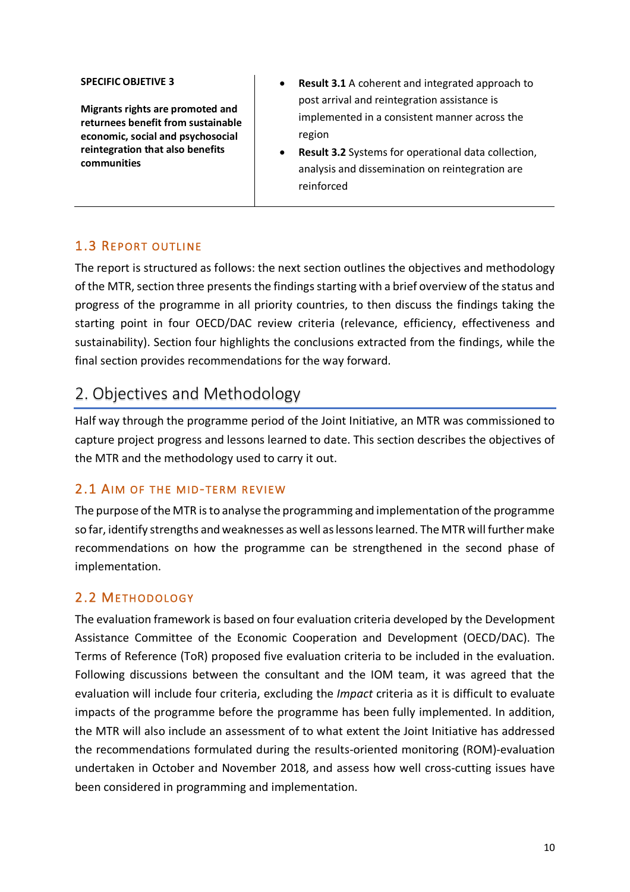#### **SPECIFIC OBJETIVE 3**

**Migrants rights are promoted and returnees benefit from sustainable economic, social and psychosocial reintegration that also benefits communities**

- **Result 3.1** A coherent and integrated approach to post arrival and reintegration assistance is implemented in a consistent manner across the region
- **Result 3.2** Systems for operational data collection, analysis and dissemination on reintegration are reinforced

### 1.3 REPORT OUTLINE

The report is structured as follows: the next section outlines the objectives and methodology of the MTR, section three presents the findings starting with a brief overview of the status and progress of the programme in all priority countries, to then discuss the findings taking the starting point in four OECD/DAC review criteria (relevance, efficiency, effectiveness and sustainability). Section four highlights the conclusions extracted from the findings, while the final section provides recommendations for the way forward.

# 2. Objectives and Methodology

Half way through the programme period of the Joint Initiative, an MTR was commissioned to capture project progress and lessons learned to date. This section describes the objectives of the MTR and the methodology used to carry it out.

### 2.1 AIM OF THE MID-TERM REVIEW

The purpose of the MTR is to analyse the programming and implementation of the programme so far, identify strengths and weaknesses as well as lessons learned. The MTR will further make recommendations on how the programme can be strengthened in the second phase of implementation.

### 2.2 METHODOLOGY

The evaluation framework is based on four evaluation criteria developed by the Development Assistance Committee of the Economic Cooperation and Development (OECD/DAC). The Terms of Reference (ToR) proposed five evaluation criteria to be included in the evaluation. Following discussions between the consultant and the IOM team, it was agreed that the evaluation will include four criteria, excluding the *Impact* criteria as it is difficult to evaluate impacts of the programme before the programme has been fully implemented. In addition, the MTR will also include an assessment of to what extent the Joint Initiative has addressed the recommendations formulated during the results-oriented monitoring (ROM)-evaluation undertaken in October and November 2018, and assess how well cross-cutting issues have been considered in programming and implementation.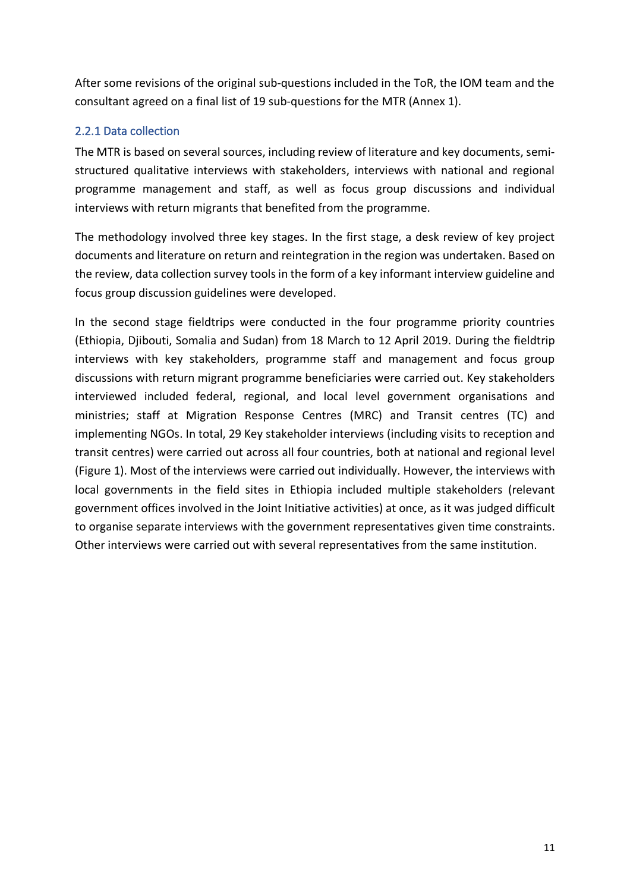After some revisions of the original sub-questions included in the ToR, the IOM team and the consultant agreed on a final list of 19 sub-questions for the MTR (Annex 1).

### 2.2.1 Data collection

The MTR is based on several sources, including review of literature and key documents, semistructured qualitative interviews with stakeholders, interviews with national and regional programme management and staff, as well as focus group discussions and individual interviews with return migrants that benefited from the programme.

The methodology involved three key stages. In the first stage, a desk review of key project documents and literature on return and reintegration in the region was undertaken. Based on the review, data collection survey tools in the form of a key informant interview guideline and focus group discussion guidelines were developed.

In the second stage fieldtrips were conducted in the four programme priority countries (Ethiopia, Djibouti, Somalia and Sudan) from 18 March to 12 April 2019. During the fieldtrip interviews with key stakeholders, programme staff and management and focus group discussions with return migrant programme beneficiaries were carried out. Key stakeholders interviewed included federal, regional, and local level government organisations and ministries; staff at Migration Response Centres (MRC) and Transit centres (TC) and implementing NGOs. In total, 29 Key stakeholder interviews (including visits to reception and transit centres) were carried out across all four countries, both at national and regional level (Figure 1). Most of the interviews were carried out individually. However, the interviews with local governments in the field sites in Ethiopia included multiple stakeholders (relevant government offices involved in the Joint Initiative activities) at once, as it was judged difficult to organise separate interviews with the government representatives given time constraints. Other interviews were carried out with several representatives from the same institution.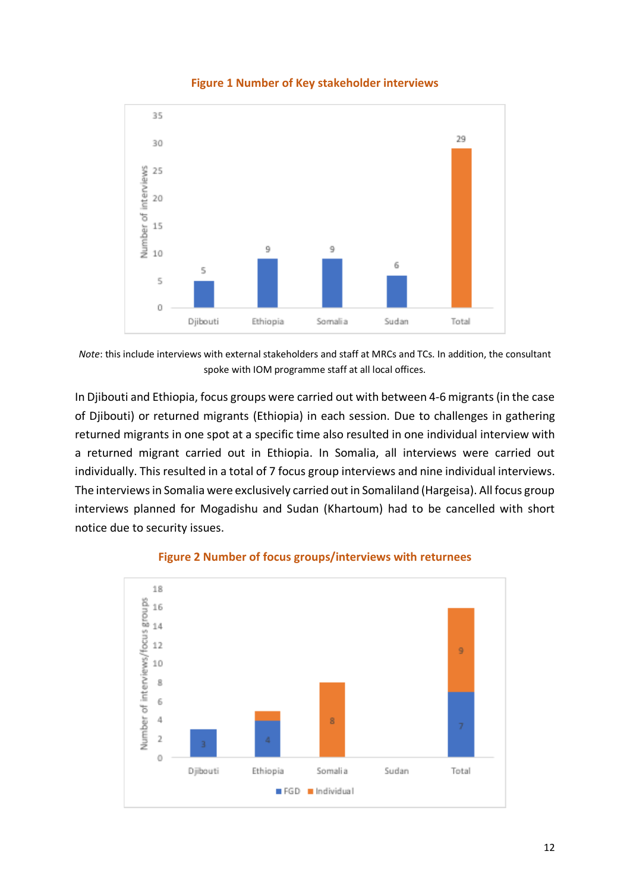

#### **Figure 1 Number of Key stakeholder interviews**

*Note*: this include interviews with external stakeholders and staff at MRCs and TCs. In addition, the consultant spoke with IOM programme staff at all local offices.

In Djibouti and Ethiopia, focus groups were carried out with between 4-6 migrants (in the case of Djibouti) or returned migrants (Ethiopia) in each session. Due to challenges in gathering returned migrants in one spot at a specific time also resulted in one individual interview with a returned migrant carried out in Ethiopia. In Somalia, all interviews were carried out individually. This resulted in a total of 7 focus group interviews and nine individual interviews. The interviews in Somalia were exclusively carried out in Somaliland (Hargeisa). All focus group interviews planned for Mogadishu and Sudan (Khartoum) had to be cancelled with short notice due to security issues.



### **Figure 2 Number of focus groups/interviews with returnees**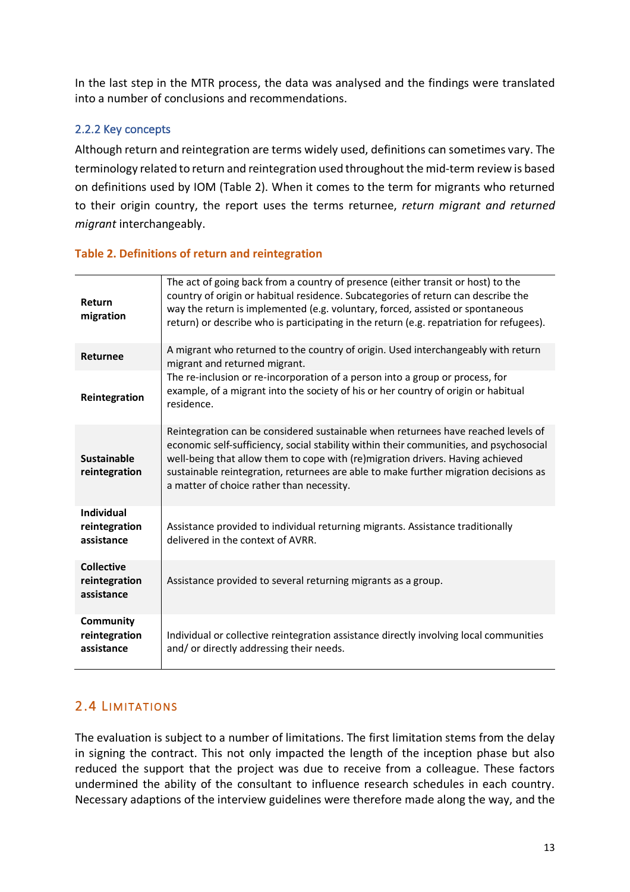In the last step in the MTR process, the data was analysed and the findings were translated into a number of conclusions and recommendations.

### 2.2.2 Key concepts

Although return and reintegration are terms widely used, definitions can sometimes vary. The terminology related to return and reintegration used throughout the mid-term review is based on definitions used by IOM (Table 2). When it comes to the term for migrants who returned to their origin country, the report uses the terms returnee, *return migrant and returned migrant* interchangeably.

### **Table 2. Definitions of return and reintegration**

| Return<br>migration                              | The act of going back from a country of presence (either transit or host) to the<br>country of origin or habitual residence. Subcategories of return can describe the<br>way the return is implemented (e.g. voluntary, forced, assisted or spontaneous<br>return) or describe who is participating in the return (e.g. repatriation for refugees).                                                |
|--------------------------------------------------|----------------------------------------------------------------------------------------------------------------------------------------------------------------------------------------------------------------------------------------------------------------------------------------------------------------------------------------------------------------------------------------------------|
| <b>Returnee</b>                                  | A migrant who returned to the country of origin. Used interchangeably with return<br>migrant and returned migrant.                                                                                                                                                                                                                                                                                 |
| Reintegration                                    | The re-inclusion or re-incorporation of a person into a group or process, for<br>example, of a migrant into the society of his or her country of origin or habitual<br>residence.                                                                                                                                                                                                                  |
| <b>Sustainable</b><br>reintegration              | Reintegration can be considered sustainable when returnees have reached levels of<br>economic self-sufficiency, social stability within their communities, and psychosocial<br>well-being that allow them to cope with (re)migration drivers. Having achieved<br>sustainable reintegration, returnees are able to make further migration decisions as<br>a matter of choice rather than necessity. |
| <b>Individual</b><br>reintegration<br>assistance | Assistance provided to individual returning migrants. Assistance traditionally<br>delivered in the context of AVRR.                                                                                                                                                                                                                                                                                |
| <b>Collective</b><br>reintegration<br>assistance | Assistance provided to several returning migrants as a group.                                                                                                                                                                                                                                                                                                                                      |
| <b>Community</b><br>reintegration<br>assistance  | Individual or collective reintegration assistance directly involving local communities<br>and/or directly addressing their needs.                                                                                                                                                                                                                                                                  |

## 2.4 LIMITATIONS

The evaluation is subject to a number of limitations. The first limitation stems from the delay in signing the contract. This not only impacted the length of the inception phase but also reduced the support that the project was due to receive from a colleague. These factors undermined the ability of the consultant to influence research schedules in each country. Necessary adaptions of the interview guidelines were therefore made along the way, and the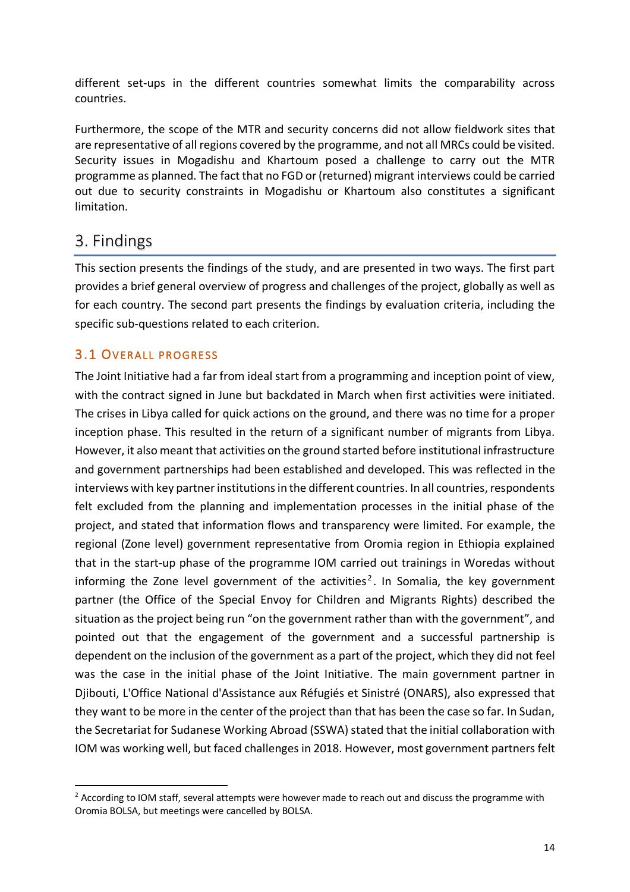different set-ups in the different countries somewhat limits the comparability across countries.

Furthermore, the scope of the MTR and security concerns did not allow fieldwork sites that are representative of all regions covered by the programme, and not all MRCs could be visited. Security issues in Mogadishu and Khartoum posed a challenge to carry out the MTR programme as planned. The fact that no FGD or (returned) migrant interviews could be carried out due to security constraints in Mogadishu or Khartoum also constitutes a significant limitation.

# 3. Findings

This section presents the findings of the study, and are presented in two ways. The first part provides a brief general overview of progress and challenges of the project, globally as well as for each country. The second part presents the findings by evaluation criteria, including the specific sub-questions related to each criterion.

# 3.1 OVERALL PROGRESS

The Joint Initiative had a far from ideal start from a programming and inception point of view, with the contract signed in June but backdated in March when first activities were initiated. The crises in Libya called for quick actions on the ground, and there was no time for a proper inception phase. This resulted in the return of a significant number of migrants from Libya. However, it also meant that activities on the ground started before institutional infrastructure and government partnerships had been established and developed. This was reflected in the interviews with key partner institutions in the different countries. In all countries, respondents felt excluded from the planning and implementation processes in the initial phase of the project, and stated that information flows and transparency were limited. For example, the regional (Zone level) government representative from Oromia region in Ethiopia explained that in the start-up phase of the programme IOM carried out trainings in Woredas without informing the Zone level government of the activities<sup>2</sup>. In Somalia, the key government partner (the Office of the Special Envoy for Children and Migrants Rights) described the situation as the project being run "on the government rather than with the government", and pointed out that the engagement of the government and a successful partnership is dependent on the inclusion of the government as a part of the project, which they did not feel was the case in the initial phase of the Joint Initiative. The main government partner in Djibouti, L'Office National d'Assistance aux Réfugiés et Sinistré (ONARS), also expressed that they want to be more in the center of the project than that has been the case so far. In Sudan, the Secretariat for Sudanese Working Abroad (SSWA) stated that the initial collaboration with IOM was working well, but faced challenges in 2018. However, most government partners felt

<sup>&</sup>lt;sup>2</sup> According to IOM staff, several attempts were however made to reach out and discuss the programme with Oromia BOLSA, but meetings were cancelled by BOLSA.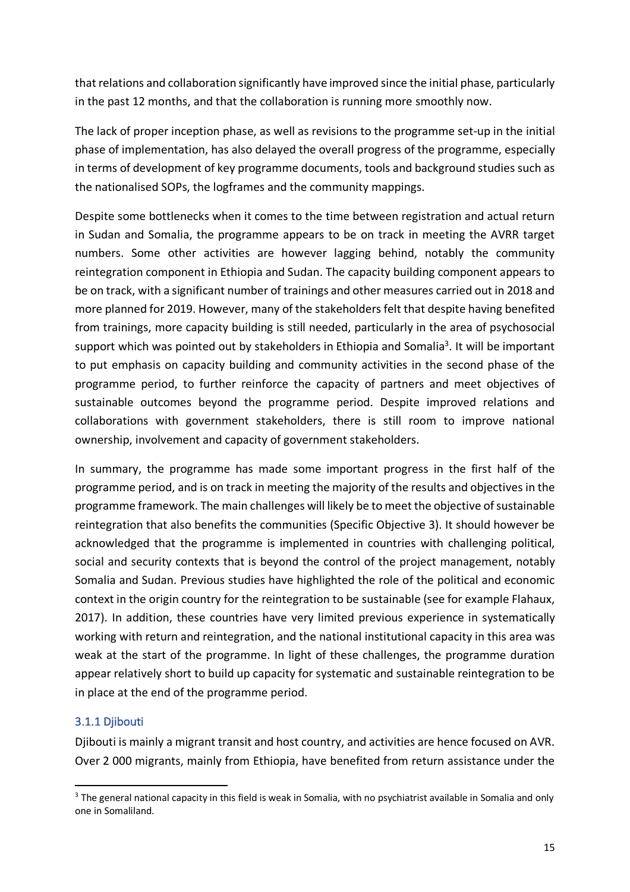that relations and collaboration significantly have improved since the initial phase, particularly in the past 12 months, and that the collaboration is running more smoothly now.

The lack of proper inception phase, as well as revisions to the programme set-up in the initial phase of implementation, has also delayed the overall progress of the programme, especially in terms of development of key programme documents, tools and background studies such as the nationalised SOPs, the logframes and the community mappings.

Despite some bottlenecks when it comes to the time between registration and actual return in Sudan and Somalia, the programme appears to be on track in meeting the AVRR target numbers. Some other activities are however lagging behind, notably the community reintegration component in Ethiopia and Sudan. The capacity building component appears to be on track, with a significant number of trainings and other measures carried out in 2018 and more planned for 2019. However, many of the stakeholders felt that despite having benefited from trainings, more capacity building is still needed, particularly in the area of psychosocial support which was pointed out by stakeholders in Ethiopia and Somalia<sup>3</sup>. It will be important to put emphasis on capacity building and community activities in the second phase of the programme period, to further reinforce the capacity of partners and meet objectives of sustainable outcomes beyond the programme period. Despite improved relations and collaborations with government stakeholders, there is still room to improve national ownership, involvement and capacity of government stakeholders.

In summary, the programme has made some important progress in the first half of the programme period, and is on track in meeting the majority of the results and objectives in the programme framework. The main challenges will likely be to meet the objective of sustainable reintegration that also benefits the communities (Specific Objective 3). It should however be acknowledged that the programme is implemented in countries with challenging political, social and security contexts that is beyond the control of the project management, notably Somalia and Sudan. Previous studies have highlighted the role of the political and economic context in the origin country for the reintegration to be sustainable (see for example Flahaux, 2017). In addition, these countries have very limited previous experience in systematically working with return and reintegration, and the national institutional capacity in this area was weak at the start of the programme. In light of these challenges, the programme duration appear relatively short to build up capacity for systematic and sustainable reintegration to be in place at the end of the programme period.

### 3.1.1 Djibouti

Djibouti is mainly a migrant transit and host country, and activities are hence focused on AVR. Over 2 000 migrants, mainly from Ethiopia, have benefited from return assistance under the

<sup>&</sup>lt;sup>3</sup> The general national capacity in this field is weak in Somalia, with no psychiatrist available in Somalia and only one in Somaliland.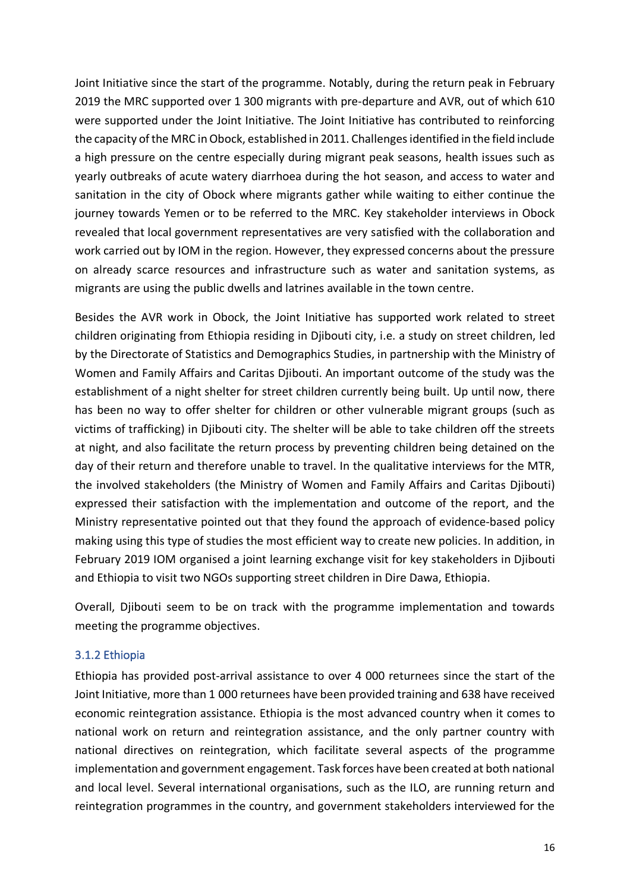Joint Initiative since the start of the programme. Notably, during the return peak in February 2019 the MRC supported over 1 300 migrants with pre-departure and AVR, out of which 610 were supported under the Joint Initiative. The Joint Initiative has contributed to reinforcing the capacity of the MRC in Obock, established in 2011. Challenges identified in the field include a high pressure on the centre especially during migrant peak seasons, health issues such as yearly outbreaks of acute watery diarrhoea during the hot season, and access to water and sanitation in the city of Obock where migrants gather while waiting to either continue the journey towards Yemen or to be referred to the MRC. Key stakeholder interviews in Obock revealed that local government representatives are very satisfied with the collaboration and work carried out by IOM in the region. However, they expressed concerns about the pressure on already scarce resources and infrastructure such as water and sanitation systems, as migrants are using the public dwells and latrines available in the town centre.

Besides the AVR work in Obock, the Joint Initiative has supported work related to street children originating from Ethiopia residing in Djibouti city, i.e. a study on street children, led by the Directorate of Statistics and Demographics Studies, in partnership with the Ministry of Women and Family Affairs and Caritas Djibouti. An important outcome of the study was the establishment of a night shelter for street children currently being built. Up until now, there has been no way to offer shelter for children or other vulnerable migrant groups (such as victims of trafficking) in Djibouti city. The shelter will be able to take children off the streets at night, and also facilitate the return process by preventing children being detained on the day of their return and therefore unable to travel. In the qualitative interviews for the MTR, the involved stakeholders (the Ministry of Women and Family Affairs and Caritas Djibouti) expressed their satisfaction with the implementation and outcome of the report, and the Ministry representative pointed out that they found the approach of evidence-based policy making using this type of studies the most efficient way to create new policies. In addition, in February 2019 IOM organised a joint learning exchange visit for key stakeholders in Djibouti and Ethiopia to visit two NGOs supporting street children in Dire Dawa, Ethiopia.

Overall, Djibouti seem to be on track with the programme implementation and towards meeting the programme objectives.

### 3.1.2 Ethiopia

Ethiopia has provided post-arrival assistance to over 4 000 returnees since the start of the Joint Initiative, more than 1 000 returnees have been provided training and 638 have received economic reintegration assistance. Ethiopia is the most advanced country when it comes to national work on return and reintegration assistance, and the only partner country with national directives on reintegration, which facilitate several aspects of the programme implementation and government engagement. Task forces have been created at both national and local level. Several international organisations, such as the ILO, are running return and reintegration programmes in the country, and government stakeholders interviewed for the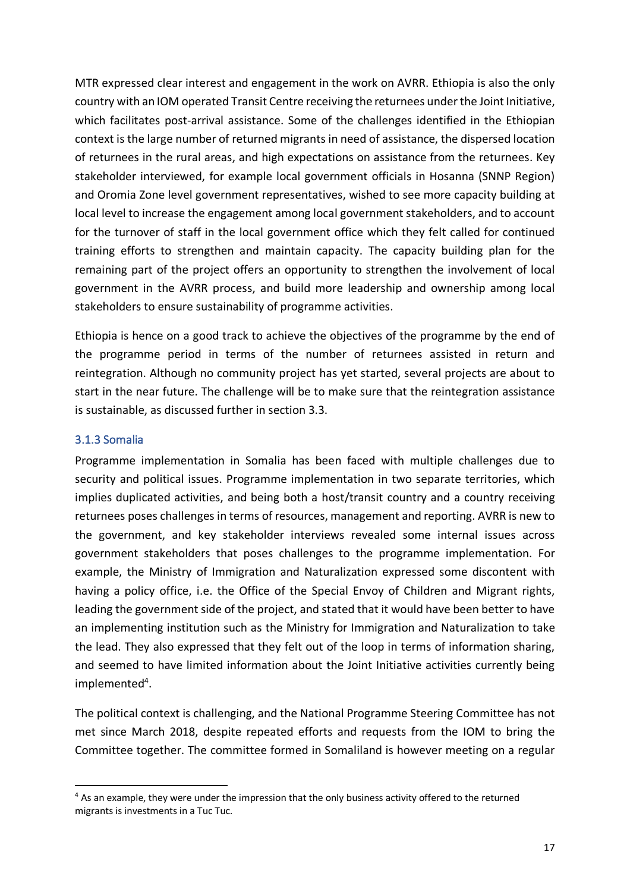MTR expressed clear interest and engagement in the work on AVRR. Ethiopia is also the only country with an IOM operated Transit Centre receiving the returnees under the Joint Initiative, which facilitates post-arrival assistance. Some of the challenges identified in the Ethiopian context is the large number of returned migrants in need of assistance, the dispersed location of returnees in the rural areas, and high expectations on assistance from the returnees. Key stakeholder interviewed, for example local government officials in Hosanna (SNNP Region) and Oromia Zone level government representatives, wished to see more capacity building at local level to increase the engagement among local government stakeholders, and to account for the turnover of staff in the local government office which they felt called for continued training efforts to strengthen and maintain capacity. The capacity building plan for the remaining part of the project offers an opportunity to strengthen the involvement of local government in the AVRR process, and build more leadership and ownership among local stakeholders to ensure sustainability of programme activities.

Ethiopia is hence on a good track to achieve the objectives of the programme by the end of the programme period in terms of the number of returnees assisted in return and reintegration. Although no community project has yet started, several projects are about to start in the near future. The challenge will be to make sure that the reintegration assistance is sustainable, as discussed further in section 3.3.

### 3.1.3 Somalia

Programme implementation in Somalia has been faced with multiple challenges due to security and political issues. Programme implementation in two separate territories, which implies duplicated activities, and being both a host/transit country and a country receiving returnees poses challenges in terms of resources, management and reporting. AVRR is new to the government, and key stakeholder interviews revealed some internal issues across government stakeholders that poses challenges to the programme implementation. For example, the Ministry of Immigration and Naturalization expressed some discontent with having a policy office, i.e. the Office of the Special Envoy of Children and Migrant rights, leading the government side of the project, and stated that it would have been better to have an implementing institution such as the Ministry for Immigration and Naturalization to take the lead. They also expressed that they felt out of the loop in terms of information sharing, and seemed to have limited information about the Joint Initiative activities currently being  $implemented<sup>4</sup>$ .

The political context is challenging, and the National Programme Steering Committee has not met since March 2018, despite repeated efforts and requests from the IOM to bring the Committee together. The committee formed in Somaliland is however meeting on a regular

 <sup>4</sup> As an example, they were under the impression that the only business activity offered to the returned migrants is investments in a Tuc Tuc.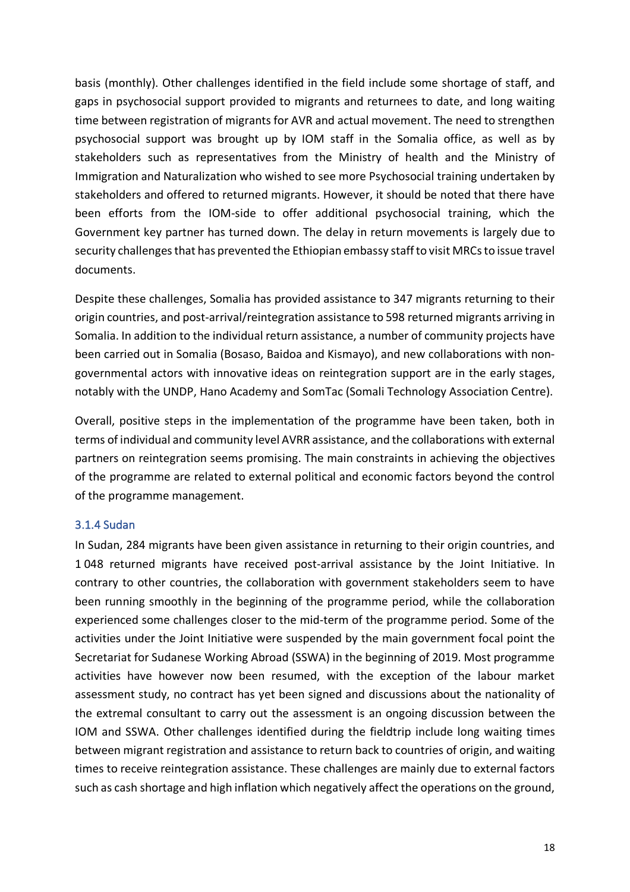basis (monthly). Other challenges identified in the field include some shortage of staff, and gaps in psychosocial support provided to migrants and returnees to date, and long waiting time between registration of migrants for AVR and actual movement. The need to strengthen psychosocial support was brought up by IOM staff in the Somalia office, as well as by stakeholders such as representatives from the Ministry of health and the Ministry of Immigration and Naturalization who wished to see more Psychosocial training undertaken by stakeholders and offered to returned migrants. However, it should be noted that there have been efforts from the IOM-side to offer additional psychosocial training, which the Government key partner has turned down. The delay in return movements is largely due to security challenges that has prevented the Ethiopian embassy staff to visit MRCs to issue travel documents.

Despite these challenges, Somalia has provided assistance to 347 migrants returning to their origin countries, and post-arrival/reintegration assistance to 598 returned migrants arriving in Somalia. In addition to the individual return assistance, a number of community projects have been carried out in Somalia (Bosaso, Baidoa and Kismayo), and new collaborations with nongovernmental actors with innovative ideas on reintegration support are in the early stages, notably with the UNDP, Hano Academy and SomTac (Somali Technology Association Centre).

Overall, positive steps in the implementation of the programme have been taken, both in terms of individual and community level AVRR assistance, and the collaborations with external partners on reintegration seems promising. The main constraints in achieving the objectives of the programme are related to external political and economic factors beyond the control of the programme management.

### 3.1.4 Sudan

In Sudan, 284 migrants have been given assistance in returning to their origin countries, and 1 048 returned migrants have received post-arrival assistance by the Joint Initiative. In contrary to other countries, the collaboration with government stakeholders seem to have been running smoothly in the beginning of the programme period, while the collaboration experienced some challenges closer to the mid-term of the programme period. Some of the activities under the Joint Initiative were suspended by the main government focal point the Secretariat for Sudanese Working Abroad (SSWA) in the beginning of 2019. Most programme activities have however now been resumed, with the exception of the labour market assessment study, no contract has yet been signed and discussions about the nationality of the extremal consultant to carry out the assessment is an ongoing discussion between the IOM and SSWA. Other challenges identified during the fieldtrip include long waiting times between migrant registration and assistance to return back to countries of origin, and waiting times to receive reintegration assistance. These challenges are mainly due to external factors such as cash shortage and high inflation which negatively affect the operations on the ground,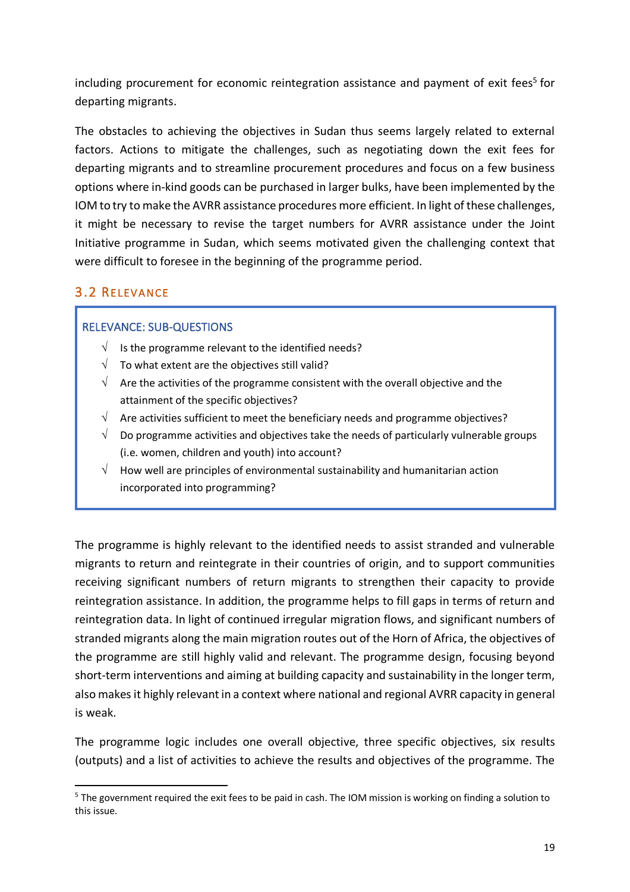including procurement for economic reintegration assistance and payment of exit fees<sup>5</sup> for departing migrants.

The obstacles to achieving the objectives in Sudan thus seems largely related to external factors. Actions to mitigate the challenges, such as negotiating down the exit fees for departing migrants and to streamline procurement procedures and focus on a few business options where in-kind goods can be purchased in larger bulks, have been implemented by the IOM to try to make the AVRR assistance procedures more efficient. In light of these challenges, it might be necessary to revise the target numbers for AVRR assistance under the Joint Initiative programme in Sudan, which seems motivated given the challenging context that were difficult to foresee in the beginning of the programme period.

# 3.2 RELEVANCE

### RELEVANCE: SUB-QUESTIONS

- $\sqrt{ }$  Is the programme relevant to the identified needs?
- $\sqrt{ }$  To what extent are the objectives still valid?
- $\sqrt{\phantom{a}}$  Are the activities of the programme consistent with the overall objective and the attainment of the specific objectives?
- $\sqrt{\phantom{a}}$  Are activities sufficient to meet the beneficiary needs and programme objectives?
- Do programme activities and objectives take the needs of particularly vulnerable groups (i.e. women, children and youth) into account?
- $\sqrt{\phantom{a}}$  How well are principles of environmental sustainability and humanitarian action incorporated into programming?

The programme is highly relevant to the identified needs to assist stranded and vulnerable migrants to return and reintegrate in their countries of origin, and to support communities receiving significant numbers of return migrants to strengthen their capacity to provide reintegration assistance. In addition, the programme helps to fill gaps in terms of return and reintegration data. In light of continued irregular migration flows, and significant numbers of stranded migrants along the main migration routes out of the Horn of Africa, the objectives of the programme are still highly valid and relevant. The programme design, focusing beyond short-term interventions and aiming at building capacity and sustainability in the longer term, also makes it highly relevant in a context where national and regional AVRR capacity in general is weak.

The programme logic includes one overall objective, three specific objectives, six results (outputs) and a list of activities to achieve the results and objectives of the programme. The

<sup>&</sup>lt;sup>5</sup> The government required the exit fees to be paid in cash. The IOM mission is working on finding a solution to this issue.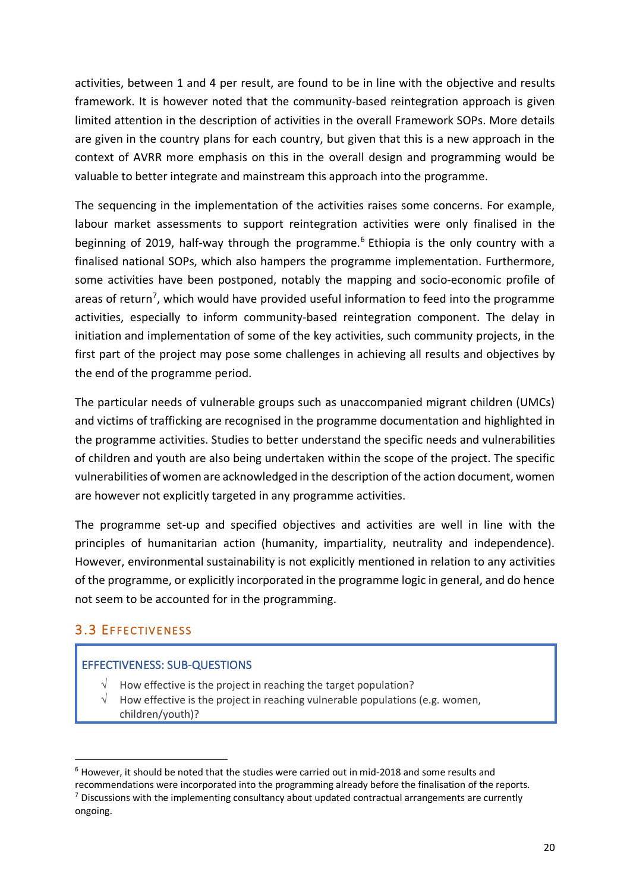activities, between 1 and 4 per result, are found to be in line with the objective and results framework. It is however noted that the community-based reintegration approach is given limited attention in the description of activities in the overall Framework SOPs. More details are given in the country plans for each country, but given that this is a new approach in the context of AVRR more emphasis on this in the overall design and programming would be valuable to better integrate and mainstream this approach into the programme.

The sequencing in the implementation of the activities raises some concerns. For example, labour market assessments to support reintegration activities were only finalised in the beginning of 2019, half-way through the programme.<sup>6</sup> Ethiopia is the only country with a finalised national SOPs, which also hampers the programme implementation. Furthermore, some activities have been postponed, notably the mapping and socio-economic profile of areas of return<sup>7</sup>, which would have provided useful information to feed into the programme activities, especially to inform community-based reintegration component. The delay in initiation and implementation of some of the key activities, such community projects, in the first part of the project may pose some challenges in achieving all results and objectives by the end of the programme period.

The particular needs of vulnerable groups such as unaccompanied migrant children (UMCs) and victims of trafficking are recognised in the programme documentation and highlighted in the programme activities. Studies to better understand the specific needs and vulnerabilities of children and youth are also being undertaken within the scope of the project. The specific vulnerabilities of women are acknowledged in the description of the action document, women are however not explicitly targeted in any programme activities.

The programme set-up and specified objectives and activities are well in line with the principles of humanitarian action (humanity, impartiality, neutrality and independence). However, environmental sustainability is not explicitly mentioned in relation to any activities of the programme, or explicitly incorporated in the programme logic in general, and do hence not seem to be accounted for in the programming.

## 3.3 EFFECTIVENESS

### EFFECTIVENESS: SUB-QUESTIONS

- $\sqrt{\phantom{a}}$  How effective is the project in reaching the target population?
- How effective is the project in reaching vulnerable populations (e.g. women, children/youth)?

 $6$  However, it should be noted that the studies were carried out in mid-2018 and some results and recommendations were incorporated into the programming already before the finalisation of the reports.<br><sup>7</sup> Discussions with the implementing consultancy about updated contractual arrangements are currently ongoing.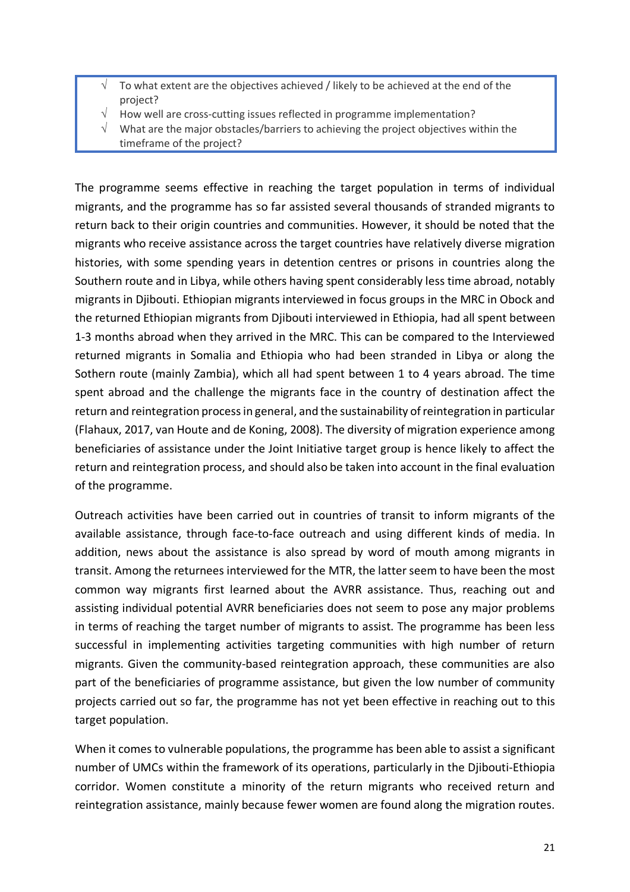- $\sqrt{ }$  To what extent are the objectives achieved / likely to be achieved at the end of the project?
- How well are cross-cutting issues reflected in programme implementation?
- What are the major obstacles/barriers to achieving the project objectives within the
- timeframe of the project?

The programme seems effective in reaching the target population in terms of individual migrants, and the programme has so far assisted several thousands of stranded migrants to return back to their origin countries and communities. However, it should be noted that the migrants who receive assistance across the target countries have relatively diverse migration histories, with some spending years in detention centres or prisons in countries along the Southern route and in Libya, while others having spent considerably less time abroad, notably migrants in Djibouti. Ethiopian migrants interviewed in focus groups in the MRC in Obock and the returned Ethiopian migrants from Djibouti interviewed in Ethiopia, had all spent between 1-3 months abroad when they arrived in the MRC. This can be compared to the Interviewed returned migrants in Somalia and Ethiopia who had been stranded in Libya or along the Sothern route (mainly Zambia), which all had spent between 1 to 4 years abroad. The time spent abroad and the challenge the migrants face in the country of destination affect the return and reintegration processin general, and the sustainability of reintegration in particular (Flahaux, 2017, van Houte and de Koning, 2008). The diversity of migration experience among beneficiaries of assistance under the Joint Initiative target group is hence likely to affect the return and reintegration process, and should also be taken into account in the final evaluation of the programme.

Outreach activities have been carried out in countries of transit to inform migrants of the available assistance, through face-to-face outreach and using different kinds of media. In addition, news about the assistance is also spread by word of mouth among migrants in transit. Among the returnees interviewed for the MTR, the latter seem to have been the most common way migrants first learned about the AVRR assistance. Thus, reaching out and assisting individual potential AVRR beneficiaries does not seem to pose any major problems in terms of reaching the target number of migrants to assist. The programme has been less successful in implementing activities targeting communities with high number of return migrants. Given the community-based reintegration approach, these communities are also part of the beneficiaries of programme assistance, but given the low number of community projects carried out so far, the programme has not yet been effective in reaching out to this target population.

When it comes to vulnerable populations, the programme has been able to assist a significant number of UMCs within the framework of its operations, particularly in the Djibouti-Ethiopia corridor. Women constitute a minority of the return migrants who received return and reintegration assistance, mainly because fewer women are found along the migration routes.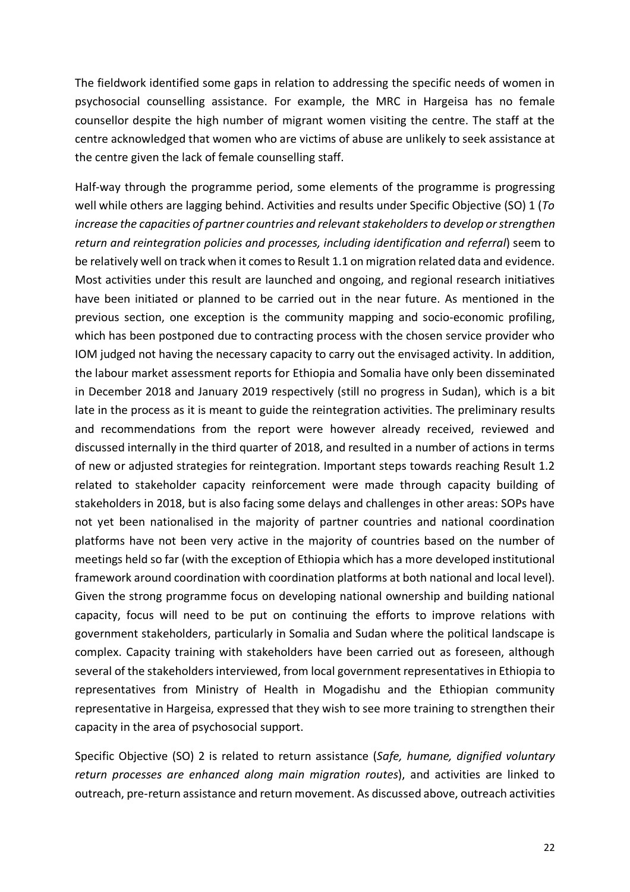The fieldwork identified some gaps in relation to addressing the specific needs of women in psychosocial counselling assistance. For example, the MRC in Hargeisa has no female counsellor despite the high number of migrant women visiting the centre. The staff at the centre acknowledged that women who are victims of abuse are unlikely to seek assistance at the centre given the lack of female counselling staff.

Half-way through the programme period, some elements of the programme is progressing well while others are lagging behind. Activities and results under Specific Objective (SO) 1 (*To increase the capacities of partner countries and relevant stakeholders to develop or strengthen return and reintegration policies and processes, including identification and referral*) seem to be relatively well on track when it comes to Result 1.1 on migration related data and evidence. Most activities under this result are launched and ongoing, and regional research initiatives have been initiated or planned to be carried out in the near future. As mentioned in the previous section, one exception is the community mapping and socio-economic profiling, which has been postponed due to contracting process with the chosen service provider who IOM judged not having the necessary capacity to carry out the envisaged activity. In addition, the labour market assessment reports for Ethiopia and Somalia have only been disseminated in December 2018 and January 2019 respectively (still no progress in Sudan), which is a bit late in the process as it is meant to guide the reintegration activities. The preliminary results and recommendations from the report were however already received, reviewed and discussed internally in the third quarter of 2018, and resulted in a number of actions in terms of new or adjusted strategies for reintegration. Important steps towards reaching Result 1.2 related to stakeholder capacity reinforcement were made through capacity building of stakeholders in 2018, but is also facing some delays and challenges in other areas: SOPs have not yet been nationalised in the majority of partner countries and national coordination platforms have not been very active in the majority of countries based on the number of meetings held so far (with the exception of Ethiopia which has a more developed institutional framework around coordination with coordination platforms at both national and local level). Given the strong programme focus on developing national ownership and building national capacity, focus will need to be put on continuing the efforts to improve relations with government stakeholders, particularly in Somalia and Sudan where the political landscape is complex. Capacity training with stakeholders have been carried out as foreseen, although several of the stakeholders interviewed, from local government representatives in Ethiopia to representatives from Ministry of Health in Mogadishu and the Ethiopian community representative in Hargeisa, expressed that they wish to see more training to strengthen their capacity in the area of psychosocial support.

Specific Objective (SO) 2 is related to return assistance (*Safe, humane, dignified voluntary return processes are enhanced along main migration routes*), and activities are linked to outreach, pre-return assistance and return movement. As discussed above, outreach activities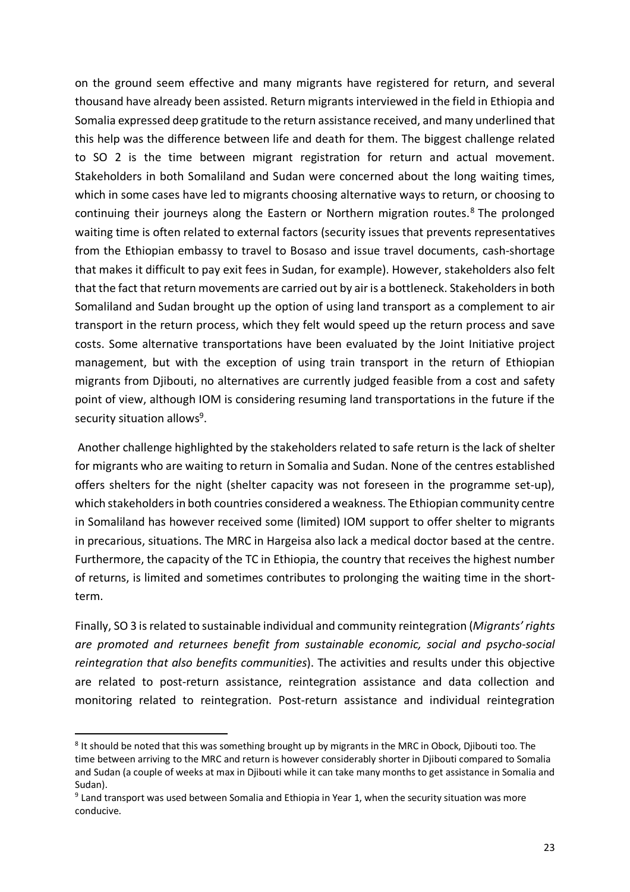on the ground seem effective and many migrants have registered for return, and several thousand have already been assisted. Return migrants interviewed in the field in Ethiopia and Somalia expressed deep gratitude to the return assistance received, and many underlined that this help was the difference between life and death for them. The biggest challenge related to SO 2 is the time between migrant registration for return and actual movement. Stakeholders in both Somaliland and Sudan were concerned about the long waiting times, which in some cases have led to migrants choosing alternative ways to return, or choosing to continuing their journeys along the Eastern or Northern migration routes. <sup>8</sup> The prolonged waiting time is often related to external factors (security issues that prevents representatives from the Ethiopian embassy to travel to Bosaso and issue travel documents, cash-shortage that makes it difficult to pay exit fees in Sudan, for example). However, stakeholders also felt that the fact that return movements are carried out by air is a bottleneck. Stakeholders in both Somaliland and Sudan brought up the option of using land transport as a complement to air transport in the return process, which they felt would speed up the return process and save costs. Some alternative transportations have been evaluated by the Joint Initiative project management, but with the exception of using train transport in the return of Ethiopian migrants from Djibouti, no alternatives are currently judged feasible from a cost and safety point of view, although IOM is considering resuming land transportations in the future if the security situation allows<sup>9</sup>.

Another challenge highlighted by the stakeholders related to safe return is the lack of shelter for migrants who are waiting to return in Somalia and Sudan. None of the centres established offers shelters for the night (shelter capacity was not foreseen in the programme set-up), which stakeholders in both countries considered a weakness. The Ethiopian community centre in Somaliland has however received some (limited) IOM support to offer shelter to migrants in precarious, situations. The MRC in Hargeisa also lack a medical doctor based at the centre. Furthermore, the capacity of the TC in Ethiopia, the country that receives the highest number of returns, is limited and sometimes contributes to prolonging the waiting time in the shortterm.

Finally, SO 3 is related to sustainable individual and community reintegration (*Migrants' rights are promoted and returnees benefit from sustainable economic, social and psycho-social reintegration that also benefits communities*). The activities and results under this objective are related to post-return assistance, reintegration assistance and data collection and monitoring related to reintegration. Post-return assistance and individual reintegration

<sup>&</sup>lt;sup>8</sup> It should be noted that this was something brought up by migrants in the MRC in Obock, Djibouti too. The time between arriving to the MRC and return is however considerably shorter in Djibouti compared to Somalia and Sudan (a couple of weeks at max in Djibouti while it can take many months to get assistance in Somalia and Sudan).

<sup>&</sup>lt;sup>9</sup> Land transport was used between Somalia and Ethiopia in Year 1, when the security situation was more conducive.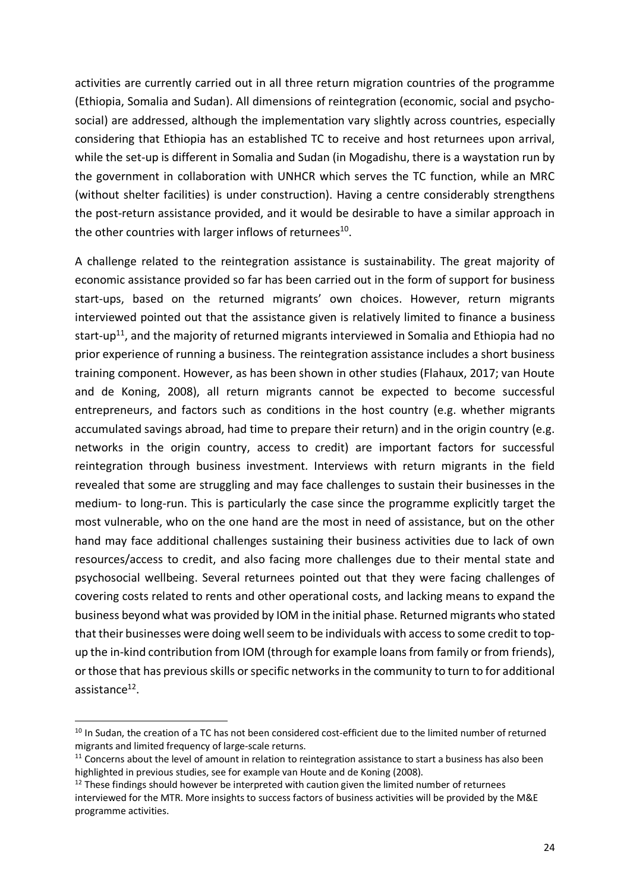activities are currently carried out in all three return migration countries of the programme (Ethiopia, Somalia and Sudan). All dimensions of reintegration (economic, social and psychosocial) are addressed, although the implementation vary slightly across countries, especially considering that Ethiopia has an established TC to receive and host returnees upon arrival, while the set-up is different in Somalia and Sudan (in Mogadishu, there is a waystation run by the government in collaboration with UNHCR which serves the TC function, while an MRC (without shelter facilities) is under construction). Having a centre considerably strengthens the post-return assistance provided, and it would be desirable to have a similar approach in the other countries with larger inflows of returnees<sup>10</sup>.

A challenge related to the reintegration assistance is sustainability. The great majority of economic assistance provided so far has been carried out in the form of support for business start-ups, based on the returned migrants' own choices. However, return migrants interviewed pointed out that the assistance given is relatively limited to finance a business start-up<sup>11</sup>, and the majority of returned migrants interviewed in Somalia and Ethiopia had no prior experience of running a business. The reintegration assistance includes a short business training component. However, as has been shown in other studies (Flahaux, 2017; van Houte and de Koning, 2008), all return migrants cannot be expected to become successful entrepreneurs, and factors such as conditions in the host country (e.g. whether migrants accumulated savings abroad, had time to prepare their return) and in the origin country (e.g. networks in the origin country, access to credit) are important factors for successful reintegration through business investment. Interviews with return migrants in the field revealed that some are struggling and may face challenges to sustain their businesses in the medium- to long-run. This is particularly the case since the programme explicitly target the most vulnerable, who on the one hand are the most in need of assistance, but on the other hand may face additional challenges sustaining their business activities due to lack of own resources/access to credit, and also facing more challenges due to their mental state and psychosocial wellbeing. Several returnees pointed out that they were facing challenges of covering costs related to rents and other operational costs, and lacking means to expand the business beyond what was provided by IOM in the initial phase. Returned migrants who stated that their businesses were doing well seem to be individuals with access to some credit to topup the in-kind contribution from IOM (through for example loans from family or from friends), or those that has previous skills or specific networks in the community to turn to for additional assistance $12$ .

<sup>&</sup>lt;sup>10</sup> In Sudan, the creation of a TC has not been considered cost-efficient due to the limited number of returned migrants and limited frequency of large-scale returns.

 $11$  Concerns about the level of amount in relation to reintegration assistance to start a business has also been highlighted in previous studies, see for example van Houte and de Koning (2008).<br><sup>12</sup> These findings should however be interpreted with caution given the limited number of returnees

interviewed for the MTR. More insights to success factors of business activities will be provided by the M&E programme activities.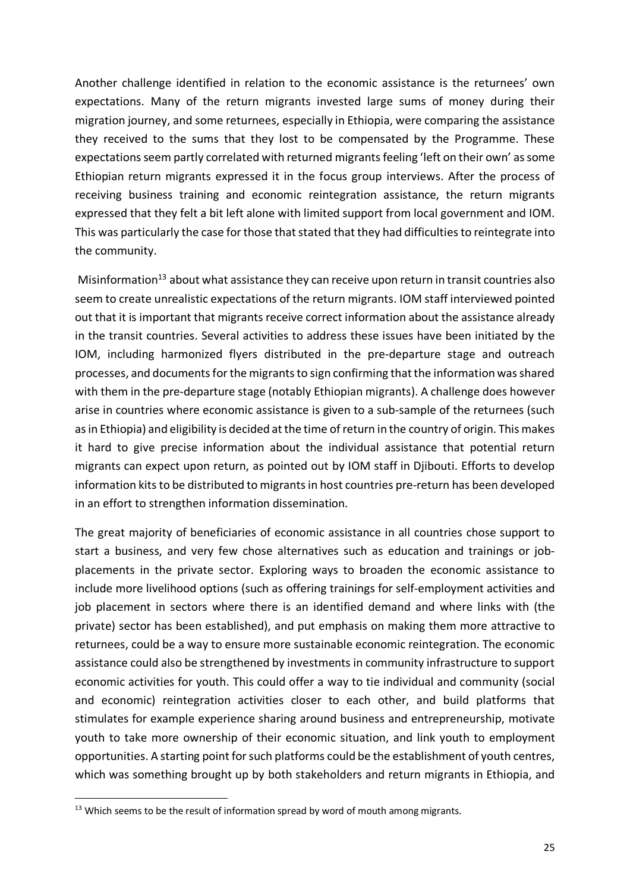Another challenge identified in relation to the economic assistance is the returnees' own expectations. Many of the return migrants invested large sums of money during their migration journey, and some returnees, especially in Ethiopia, were comparing the assistance they received to the sums that they lost to be compensated by the Programme. These expectations seem partly correlated with returned migrants feeling 'left on their own' as some Ethiopian return migrants expressed it in the focus group interviews. After the process of receiving business training and economic reintegration assistance, the return migrants expressed that they felt a bit left alone with limited support from local government and IOM. This was particularly the case for those that stated that they had difficulties to reintegrate into the community.

Misinformation<sup>13</sup> about what assistance they can receive upon return in transit countries also seem to create unrealistic expectations of the return migrants. IOM staff interviewed pointed out that it is important that migrants receive correct information about the assistance already in the transit countries. Several activities to address these issues have been initiated by the IOM, including harmonized flyers distributed in the pre-departure stage and outreach processes, and documents for the migrants to sign confirming that the information was shared with them in the pre-departure stage (notably Ethiopian migrants). A challenge does however arise in countries where economic assistance is given to a sub-sample of the returnees (such as in Ethiopia) and eligibility is decided at the time of return in the country of origin. This makes it hard to give precise information about the individual assistance that potential return migrants can expect upon return, as pointed out by IOM staff in Djibouti. Efforts to develop information kits to be distributed to migrants in host countries pre-return has been developed in an effort to strengthen information dissemination.

The great majority of beneficiaries of economic assistance in all countries chose support to start a business, and very few chose alternatives such as education and trainings or jobplacements in the private sector. Exploring ways to broaden the economic assistance to include more livelihood options (such as offering trainings for self-employment activities and job placement in sectors where there is an identified demand and where links with (the private) sector has been established), and put emphasis on making them more attractive to returnees, could be a way to ensure more sustainable economic reintegration. The economic assistance could also be strengthened by investments in community infrastructure to support economic activities for youth. This could offer a way to tie individual and community (social and economic) reintegration activities closer to each other, and build platforms that stimulates for example experience sharing around business and entrepreneurship, motivate youth to take more ownership of their economic situation, and link youth to employment opportunities. A starting point for such platforms could be the establishment of youth centres, which was something brought up by both stakeholders and return migrants in Ethiopia, and

<sup>&</sup>lt;sup>13</sup> Which seems to be the result of information spread by word of mouth among migrants.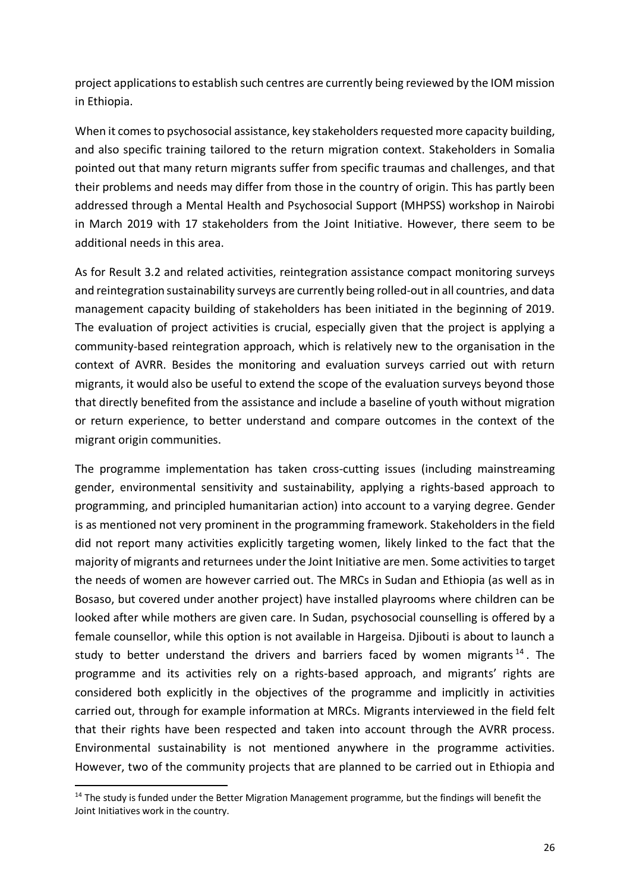project applications to establish such centres are currently being reviewed by the IOM mission in Ethiopia.

When it comes to psychosocial assistance, key stakeholders requested more capacity building, and also specific training tailored to the return migration context. Stakeholders in Somalia pointed out that many return migrants suffer from specific traumas and challenges, and that their problems and needs may differ from those in the country of origin. This has partly been addressed through a Mental Health and Psychosocial Support (MHPSS) workshop in Nairobi in March 2019 with 17 stakeholders from the Joint Initiative. However, there seem to be additional needs in this area.

As for Result 3.2 and related activities, reintegration assistance compact monitoring surveys and reintegration sustainability surveys are currently being rolled-out in all countries, and data management capacity building of stakeholders has been initiated in the beginning of 2019. The evaluation of project activities is crucial, especially given that the project is applying a community-based reintegration approach, which is relatively new to the organisation in the context of AVRR. Besides the monitoring and evaluation surveys carried out with return migrants, it would also be useful to extend the scope of the evaluation surveys beyond those that directly benefited from the assistance and include a baseline of youth without migration or return experience, to better understand and compare outcomes in the context of the migrant origin communities.

The programme implementation has taken cross-cutting issues (including mainstreaming gender, environmental sensitivity and sustainability, applying a rights-based approach to programming, and principled humanitarian action) into account to a varying degree. Gender is as mentioned not very prominent in the programming framework. Stakeholders in the field did not report many activities explicitly targeting women, likely linked to the fact that the majority of migrants and returnees under the Joint Initiative are men. Some activities to target the needs of women are however carried out. The MRCs in Sudan and Ethiopia (as well as in Bosaso, but covered under another project) have installed playrooms where children can be looked after while mothers are given care. In Sudan, psychosocial counselling is offered by a female counsellor, while this option is not available in Hargeisa. Djibouti is about to launch a study to better understand the drivers and barriers faced by women migrants  $14$ . The programme and its activities rely on a rights-based approach, and migrants' rights are considered both explicitly in the objectives of the programme and implicitly in activities carried out, through for example information at MRCs. Migrants interviewed in the field felt that their rights have been respected and taken into account through the AVRR process. Environmental sustainability is not mentioned anywhere in the programme activities. However, two of the community projects that are planned to be carried out in Ethiopia and

<sup>&</sup>lt;sup>14</sup> The study is funded under the Better Migration Management programme, but the findings will benefit the Joint Initiatives work in the country.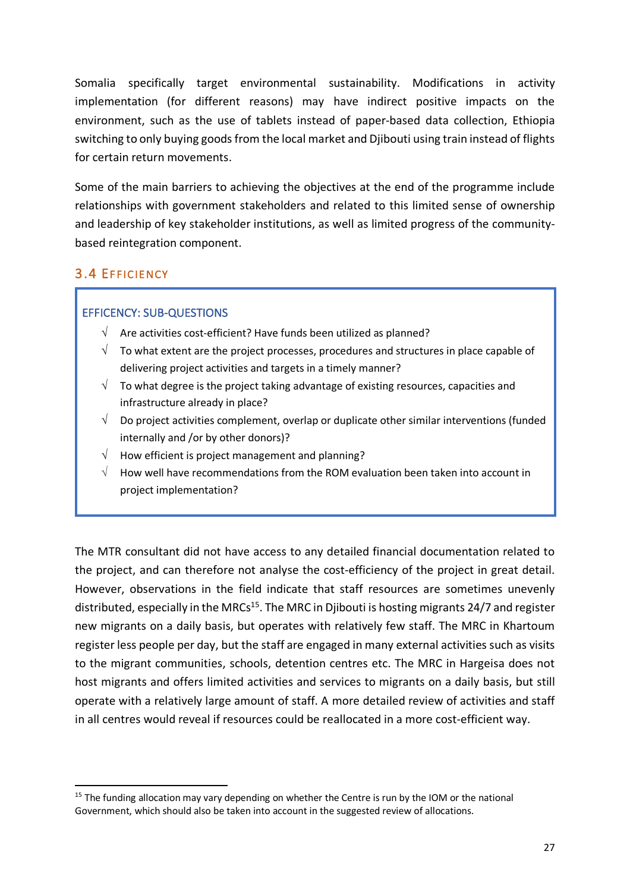Somalia specifically target environmental sustainability. Modifications in activity implementation (for different reasons) may have indirect positive impacts on the environment, such as the use of tablets instead of paper-based data collection, Ethiopia switching to only buying goods from the local market and Djibouti using train instead of flights for certain return movements.

Some of the main barriers to achieving the objectives at the end of the programme include relationships with government stakeholders and related to this limited sense of ownership and leadership of key stakeholder institutions, as well as limited progress of the communitybased reintegration component.

## 3.4 EFFICIENCY

### EFFICENCY: SUB-QUESTIONS

- $\sqrt{ }$  Are activities cost-efficient? Have funds been utilized as planned?
- $\sqrt{\phantom{a}}$  To what extent are the project processes, procedures and structures in place capable of delivering project activities and targets in a timely manner?
- $\sqrt{\phantom{a}}$  To what degree is the project taking advantage of existing resources, capacities and infrastructure already in place?
- $\sqrt{\phantom{a}}$  Do project activities complement, overlap or duplicate other similar interventions (funded internally and /or by other donors)?
- $\sqrt{\phantom{a}}$  How efficient is project management and planning?
- $\sqrt{-}$  How well have recommendations from the ROM evaluation been taken into account in project implementation?

The MTR consultant did not have access to any detailed financial documentation related to the project, and can therefore not analyse the cost-efficiency of the project in great detail. However, observations in the field indicate that staff resources are sometimes unevenly distributed, especially in the MRCs<sup>15</sup>. The MRC in Djibouti is hosting migrants 24/7 and register new migrants on a daily basis, but operates with relatively few staff. The MRC in Khartoum register less people per day, but the staff are engaged in many external activities such as visits to the migrant communities, schools, detention centres etc. The MRC in Hargeisa does not host migrants and offers limited activities and services to migrants on a daily basis, but still operate with a relatively large amount of staff. A more detailed review of activities and staff in all centres would reveal if resources could be reallocated in a more cost-efficient way.

<sup>&</sup>lt;sup>15</sup> The funding allocation may vary depending on whether the Centre is run by the IOM or the national Government, which should also be taken into account in the suggested review of allocations.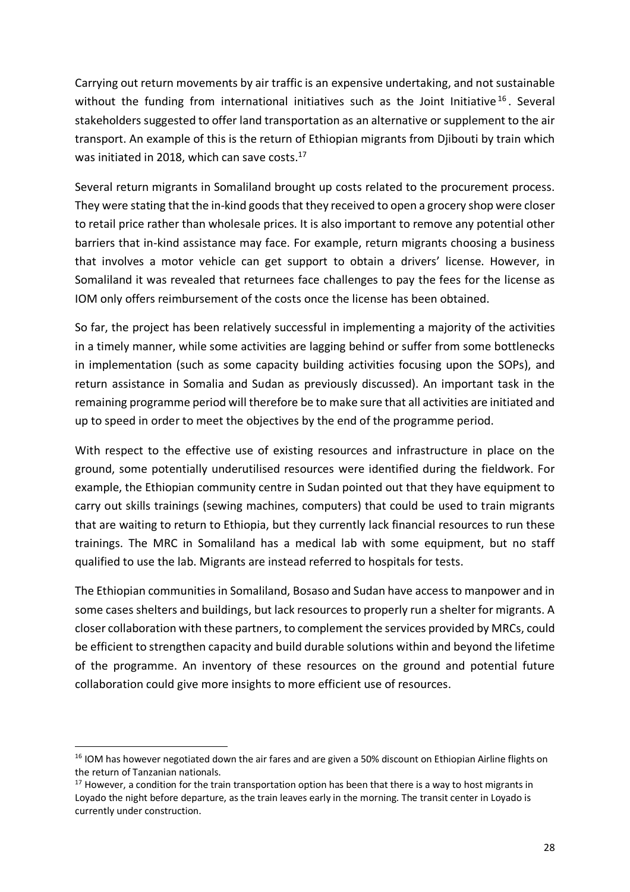Carrying out return movements by air traffic is an expensive undertaking, and not sustainable without the funding from international initiatives such as the Joint Initiative  $16$ . Several stakeholders suggested to offer land transportation as an alternative or supplement to the air transport. An example of this is the return of Ethiopian migrants from Djibouti by train which was initiated in 2018, which can save costs.<sup>17</sup>

Several return migrants in Somaliland brought up costs related to the procurement process. They were stating that the in-kind goods that they received to open a grocery shop were closer to retail price rather than wholesale prices. It is also important to remove any potential other barriers that in-kind assistance may face. For example, return migrants choosing a business that involves a motor vehicle can get support to obtain a drivers' license. However, in Somaliland it was revealed that returnees face challenges to pay the fees for the license as IOM only offers reimbursement of the costs once the license has been obtained.

So far, the project has been relatively successful in implementing a majority of the activities in a timely manner, while some activities are lagging behind or suffer from some bottlenecks in implementation (such as some capacity building activities focusing upon the SOPs), and return assistance in Somalia and Sudan as previously discussed). An important task in the remaining programme period will therefore be to make sure that all activities are initiated and up to speed in order to meet the objectives by the end of the programme period.

With respect to the effective use of existing resources and infrastructure in place on the ground, some potentially underutilised resources were identified during the fieldwork. For example, the Ethiopian community centre in Sudan pointed out that they have equipment to carry out skills trainings (sewing machines, computers) that could be used to train migrants that are waiting to return to Ethiopia, but they currently lack financial resources to run these trainings. The MRC in Somaliland has a medical lab with some equipment, but no staff qualified to use the lab. Migrants are instead referred to hospitals for tests.

The Ethiopian communitiesin Somaliland, Bosaso and Sudan have access to manpower and in some cases shelters and buildings, but lack resources to properly run a shelter for migrants. A closer collaboration with these partners, to complement the services provided by MRCs, could be efficient to strengthen capacity and build durable solutions within and beyond the lifetime of the programme. An inventory of these resources on the ground and potential future collaboration could give more insights to more efficient use of resources.

<sup>&</sup>lt;sup>16</sup> IOM has however negotiated down the air fares and are given a 50% discount on Ethiopian Airline flights on the return of Tanzanian nationals.

 $17$  However, a condition for the train transportation option has been that there is a way to host migrants in Loyado the night before departure, as the train leaves early in the morning. The transit center in Loyado is currently under construction.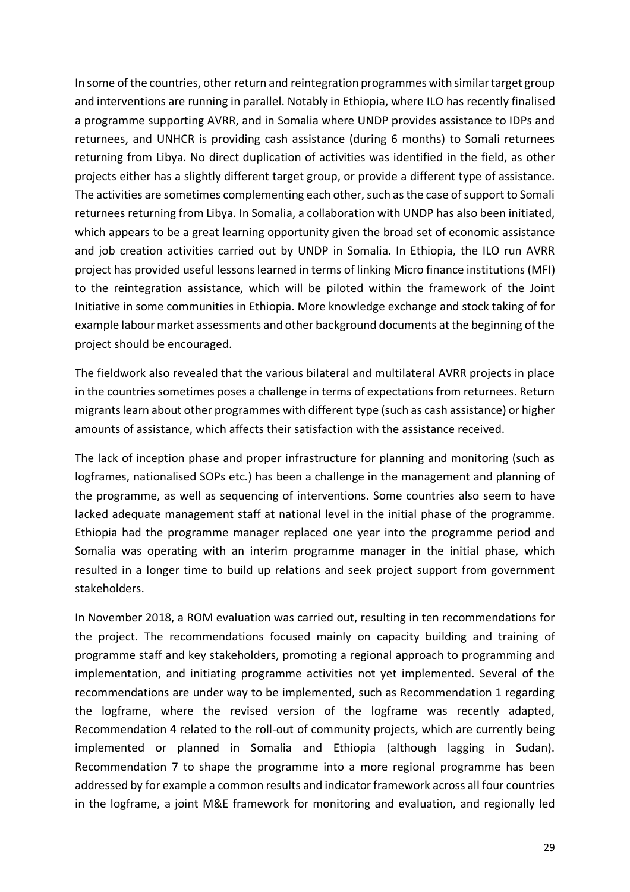In some of the countries, other return and reintegration programmes with similar target group and interventions are running in parallel. Notably in Ethiopia, where ILO has recently finalised a programme supporting AVRR, and in Somalia where UNDP provides assistance to IDPs and returnees, and UNHCR is providing cash assistance (during 6 months) to Somali returnees returning from Libya. No direct duplication of activities was identified in the field, as other projects either has a slightly different target group, or provide a different type of assistance. The activities are sometimes complementing each other, such as the case of support to Somali returnees returning from Libya. In Somalia, a collaboration with UNDP has also been initiated, which appears to be a great learning opportunity given the broad set of economic assistance and job creation activities carried out by UNDP in Somalia. In Ethiopia, the ILO run AVRR project has provided useful lessons learned in terms of linking Micro finance institutions (MFI) to the reintegration assistance, which will be piloted within the framework of the Joint Initiative in some communities in Ethiopia. More knowledge exchange and stock taking of for example labour market assessments and other background documents at the beginning of the project should be encouraged.

The fieldwork also revealed that the various bilateral and multilateral AVRR projects in place in the countries sometimes poses a challenge in terms of expectations from returnees. Return migrants learn about other programmes with different type (such as cash assistance) or higher amounts of assistance, which affects their satisfaction with the assistance received.

The lack of inception phase and proper infrastructure for planning and monitoring (such as logframes, nationalised SOPs etc.) has been a challenge in the management and planning of the programme, as well as sequencing of interventions. Some countries also seem to have lacked adequate management staff at national level in the initial phase of the programme. Ethiopia had the programme manager replaced one year into the programme period and Somalia was operating with an interim programme manager in the initial phase, which resulted in a longer time to build up relations and seek project support from government stakeholders.

In November 2018, a ROM evaluation was carried out, resulting in ten recommendations for the project. The recommendations focused mainly on capacity building and training of programme staff and key stakeholders, promoting a regional approach to programming and implementation, and initiating programme activities not yet implemented. Several of the recommendations are under way to be implemented, such as Recommendation 1 regarding the logframe, where the revised version of the logframe was recently adapted, Recommendation 4 related to the roll-out of community projects, which are currently being implemented or planned in Somalia and Ethiopia (although lagging in Sudan). Recommendation 7 to shape the programme into a more regional programme has been addressed by for example a common results and indicator framework across all four countries in the logframe, a joint M&E framework for monitoring and evaluation, and regionally led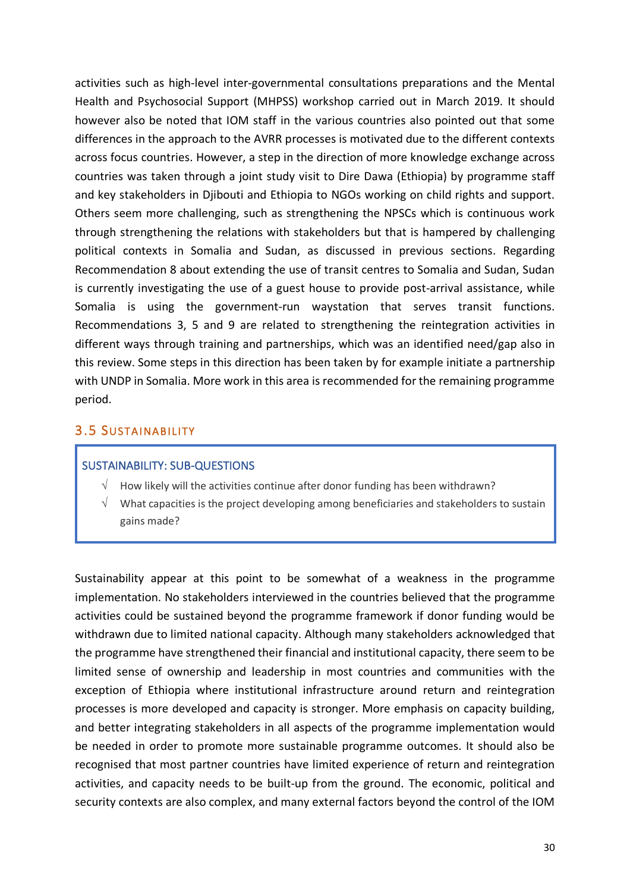activities such as high-level inter-governmental consultations preparations and the Mental Health and Psychosocial Support (MHPSS) workshop carried out in March 2019. It should however also be noted that IOM staff in the various countries also pointed out that some differences in the approach to the AVRR processes is motivated due to the different contexts across focus countries. However, a step in the direction of more knowledge exchange across countries was taken through a joint study visit to Dire Dawa (Ethiopia) by programme staff and key stakeholders in Djibouti and Ethiopia to NGOs working on child rights and support. Others seem more challenging, such as strengthening the NPSCs which is continuous work through strengthening the relations with stakeholders but that is hampered by challenging political contexts in Somalia and Sudan, as discussed in previous sections. Regarding Recommendation 8 about extending the use of transit centres to Somalia and Sudan, Sudan is currently investigating the use of a guest house to provide post-arrival assistance, while Somalia is using the government-run waystation that serves transit functions. Recommendations 3, 5 and 9 are related to strengthening the reintegration activities in different ways through training and partnerships, which was an identified need/gap also in this review. Some steps in this direction has been taken by for example initiate a partnership with UNDP in Somalia. More work in this area is recommended for the remaining programme period.

### 3.5 SUSTAINABILITY

#### SUSTAINABILITY: SUB-QUESTIONS

- $\sqrt{\phantom{a}}$  How likely will the activities continue after donor funding has been withdrawn?
- What capacities is the project developing among beneficiaries and stakeholders to sustain gains made?

Sustainability appear at this point to be somewhat of a weakness in the programme implementation. No stakeholders interviewed in the countries believed that the programme activities could be sustained beyond the programme framework if donor funding would be withdrawn due to limited national capacity. Although many stakeholders acknowledged that the programme have strengthened their financial and institutional capacity, there seem to be limited sense of ownership and leadership in most countries and communities with the exception of Ethiopia where institutional infrastructure around return and reintegration processes is more developed and capacity is stronger. More emphasis on capacity building, and better integrating stakeholders in all aspects of the programme implementation would be needed in order to promote more sustainable programme outcomes. It should also be recognised that most partner countries have limited experience of return and reintegration activities, and capacity needs to be built-up from the ground. The economic, political and security contexts are also complex, and many external factors beyond the control of the IOM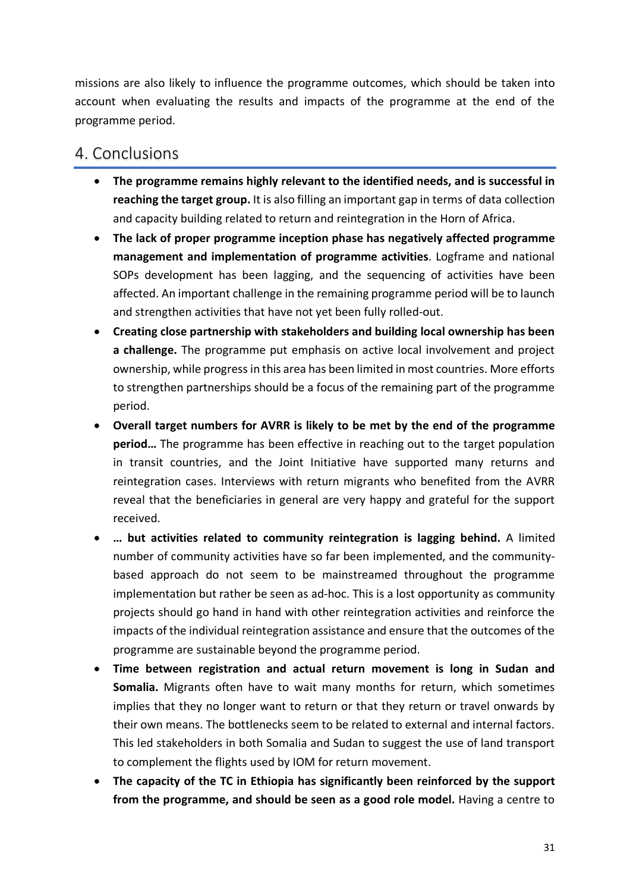missions are also likely to influence the programme outcomes, which should be taken into account when evaluating the results and impacts of the programme at the end of the programme period.

# 4. Conclusions

- **The programme remains highly relevant to the identified needs, and is successful in reaching the target group.** It is also filling an important gap in terms of data collection and capacity building related to return and reintegration in the Horn of Africa.
- **The lack of proper programme inception phase has negatively affected programme management and implementation of programme activities**. Logframe and national SOPs development has been lagging, and the sequencing of activities have been affected. An important challenge in the remaining programme period will be to launch and strengthen activities that have not yet been fully rolled-out.
- **Creating close partnership with stakeholders and building local ownership has been a challenge.** The programme put emphasis on active local involvement and project ownership, while progress in this area has been limited in most countries. More efforts to strengthen partnerships should be a focus of the remaining part of the programme period.
- **Overall target numbers for AVRR is likely to be met by the end of the programme period…** The programme has been effective in reaching out to the target population in transit countries, and the Joint Initiative have supported many returns and reintegration cases. Interviews with return migrants who benefited from the AVRR reveal that the beneficiaries in general are very happy and grateful for the support received.
- **… but activities related to community reintegration is lagging behind.** A limited number of community activities have so far been implemented, and the communitybased approach do not seem to be mainstreamed throughout the programme implementation but rather be seen as ad-hoc. This is a lost opportunity as community projects should go hand in hand with other reintegration activities and reinforce the impacts of the individual reintegration assistance and ensure that the outcomes of the programme are sustainable beyond the programme period.
- **Time between registration and actual return movement is long in Sudan and Somalia.** Migrants often have to wait many months for return, which sometimes implies that they no longer want to return or that they return or travel onwards by their own means. The bottlenecks seem to be related to external and internal factors. This led stakeholders in both Somalia and Sudan to suggest the use of land transport to complement the flights used by IOM for return movement.
- **The capacity of the TC in Ethiopia has significantly been reinforced by the support from the programme, and should be seen as a good role model.** Having a centre to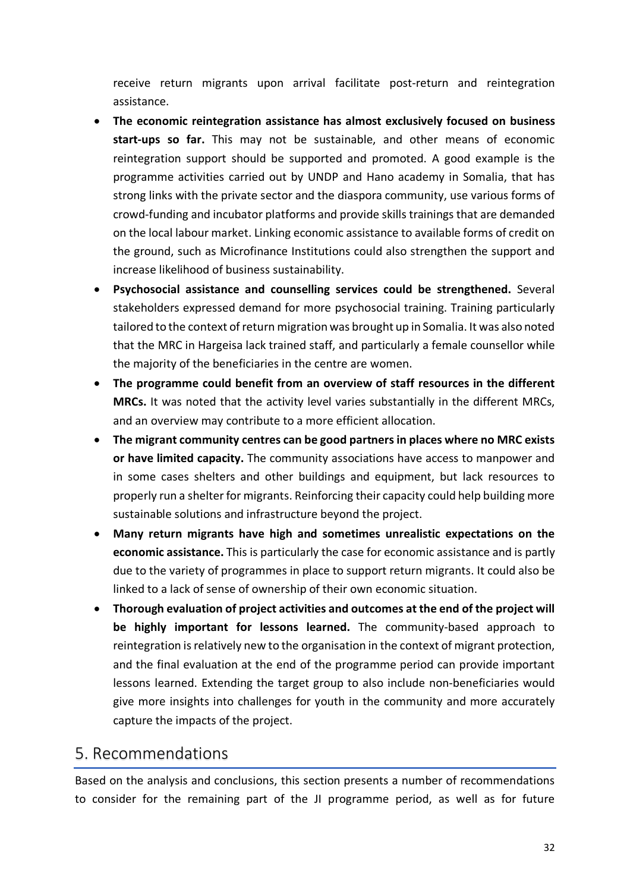receive return migrants upon arrival facilitate post-return and reintegration assistance.

- **The economic reintegration assistance has almost exclusively focused on business start-ups so far.** This may not be sustainable, and other means of economic reintegration support should be supported and promoted. A good example is the programme activities carried out by UNDP and Hano academy in Somalia, that has strong links with the private sector and the diaspora community, use various forms of crowd-funding and incubator platforms and provide skills trainings that are demanded on the local labour market. Linking economic assistance to available forms of credit on the ground, such as Microfinance Institutions could also strengthen the support and increase likelihood of business sustainability.
- **Psychosocial assistance and counselling services could be strengthened.** Several stakeholders expressed demand for more psychosocial training. Training particularly tailored to the context of return migration was brought up in Somalia. It was also noted that the MRC in Hargeisa lack trained staff, and particularly a female counsellor while the majority of the beneficiaries in the centre are women.
- **The programme could benefit from an overview of staff resources in the different MRCs.** It was noted that the activity level varies substantially in the different MRCs, and an overview may contribute to a more efficient allocation.
- **The migrant community centres can be good partners in places where no MRC exists or have limited capacity.** The community associations have access to manpower and in some cases shelters and other buildings and equipment, but lack resources to properly run a shelter for migrants. Reinforcing their capacity could help building more sustainable solutions and infrastructure beyond the project.
- **Many return migrants have high and sometimes unrealistic expectations on the economic assistance.** This is particularly the case for economic assistance and is partly due to the variety of programmes in place to support return migrants. It could also be linked to a lack of sense of ownership of their own economic situation.
- **Thorough evaluation of project activities and outcomes at the end of the project will be highly important for lessons learned.** The community-based approach to reintegration is relatively new to the organisation in the context of migrant protection, and the final evaluation at the end of the programme period can provide important lessons learned. Extending the target group to also include non-beneficiaries would give more insights into challenges for youth in the community and more accurately capture the impacts of the project.

# 5. Recommendations

Based on the analysis and conclusions, this section presents a number of recommendations to consider for the remaining part of the JI programme period, as well as for future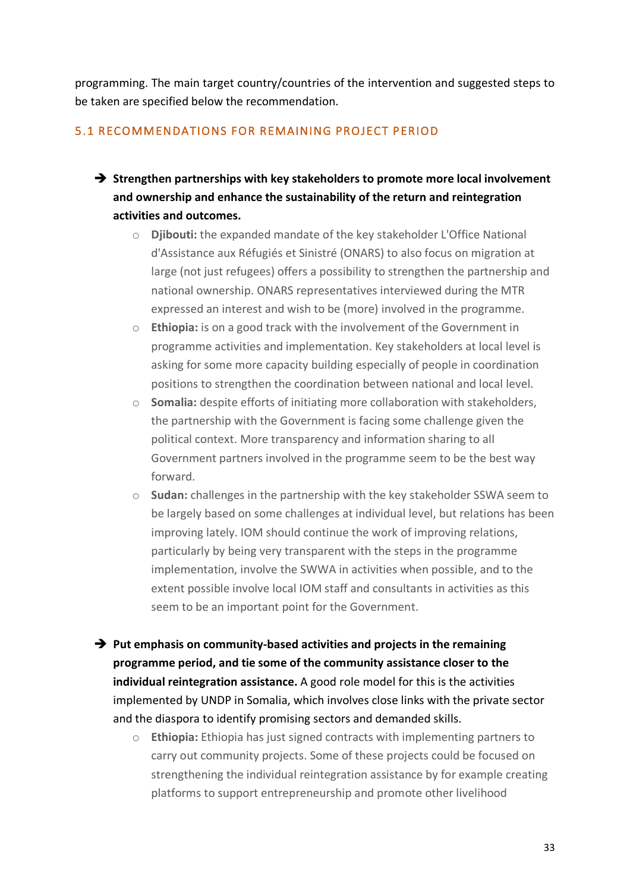programming. The main target country/countries of the intervention and suggested steps to be taken are specified below the recommendation.

### 5.1 RECOMMENDATIONS FOR REMAINING PROJECT PERIOD

- $→$  **Strengthen partnerships with key stakeholders to promote more local involvement and ownership and enhance the sustainability of the return and reintegration activities and outcomes.**
	- o **Djibouti:** the expanded mandate of the key stakeholder L'Office National d'Assistance aux Réfugiés et Sinistré (ONARS) to also focus on migration at large (not just refugees) offers a possibility to strengthen the partnership and national ownership. ONARS representatives interviewed during the MTR expressed an interest and wish to be (more) involved in the programme.
	- o **Ethiopia:** is on a good track with the involvement of the Government in programme activities and implementation. Key stakeholders at local level is asking for some more capacity building especially of people in coordination positions to strengthen the coordination between national and local level.
	- o **Somalia:** despite efforts of initiating more collaboration with stakeholders, the partnership with the Government is facing some challenge given the political context. More transparency and information sharing to all Government partners involved in the programme seem to be the best way forward.
	- o **Sudan:** challenges in the partnership with the key stakeholder SSWA seem to be largely based on some challenges at individual level, but relations has been improving lately. IOM should continue the work of improving relations, particularly by being very transparent with the steps in the programme implementation, involve the SWWA in activities when possible, and to the extent possible involve local IOM staff and consultants in activities as this seem to be an important point for the Government.
- $→$  Put emphasis on community-based activities and projects in the remaining **programme period, and tie some of the community assistance closer to the individual reintegration assistance.** A good role model for this is the activities implemented by UNDP in Somalia, which involves close links with the private sector and the diaspora to identify promising sectors and demanded skills.
	- o **Ethiopia:** Ethiopia has just signed contracts with implementing partners to carry out community projects. Some of these projects could be focused on strengthening the individual reintegration assistance by for example creating platforms to support entrepreneurship and promote other livelihood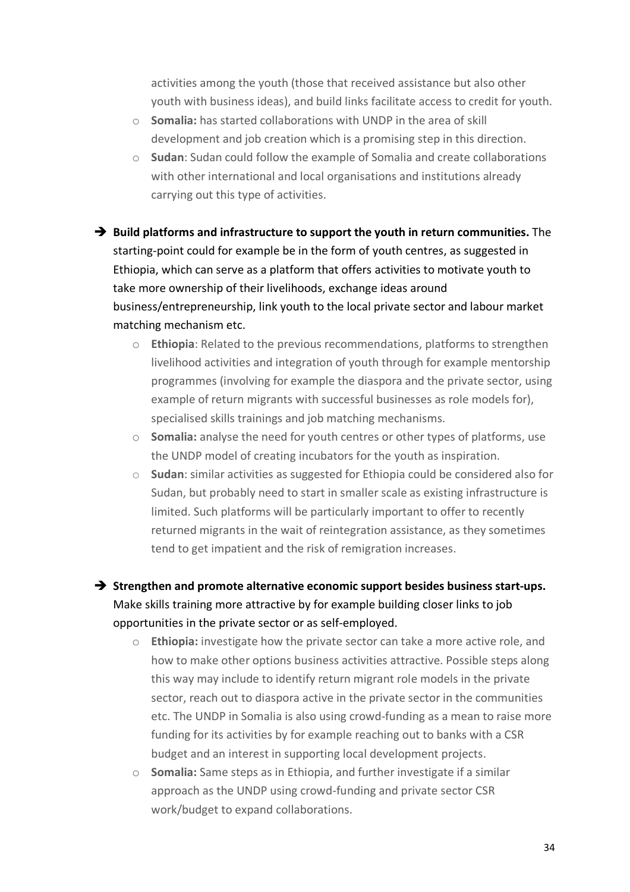activities among the youth (those that received assistance but also other youth with business ideas), and build links facilitate access to credit for youth.

- o **Somalia:** has started collaborations with UNDP in the area of skill development and job creation which is a promising step in this direction.
- o **Sudan**: Sudan could follow the example of Somalia and create collaborations with other international and local organisations and institutions already carrying out this type of activities.

**→** Build platforms and infrastructure to support the youth in return communities. The starting-point could for example be in the form of youth centres, as suggested in Ethiopia, which can serve as a platform that offers activities to motivate youth to take more ownership of their livelihoods, exchange ideas around business/entrepreneurship, link youth to the local private sector and labour market matching mechanism etc.

- o **Ethiopia**: Related to the previous recommendations, platforms to strengthen livelihood activities and integration of youth through for example mentorship programmes (involving for example the diaspora and the private sector, using example of return migrants with successful businesses as role models for), specialised skills trainings and job matching mechanisms.
- o **Somalia:** analyse the need for youth centres or other types of platforms, use the UNDP model of creating incubators for the youth as inspiration.
- o **Sudan**: similar activities as suggested for Ethiopia could be considered also for Sudan, but probably need to start in smaller scale as existing infrastructure is limited. Such platforms will be particularly important to offer to recently returned migrants in the wait of reintegration assistance, as they sometimes tend to get impatient and the risk of remigration increases.

 $→$  Strengthen and promote alternative economic support besides business start-ups. Make skills training more attractive by for example building closer links to job opportunities in the private sector or as self-employed.

- o **Ethiopia:** investigate how the private sector can take a more active role, and how to make other options business activities attractive. Possible steps along this way may include to identify return migrant role models in the private sector, reach out to diaspora active in the private sector in the communities etc. The UNDP in Somalia is also using crowd-funding as a mean to raise more funding for its activities by for example reaching out to banks with a CSR budget and an interest in supporting local development projects.
- o **Somalia:** Same steps as in Ethiopia, and further investigate if a similar approach as the UNDP using crowd-funding and private sector CSR work/budget to expand collaborations.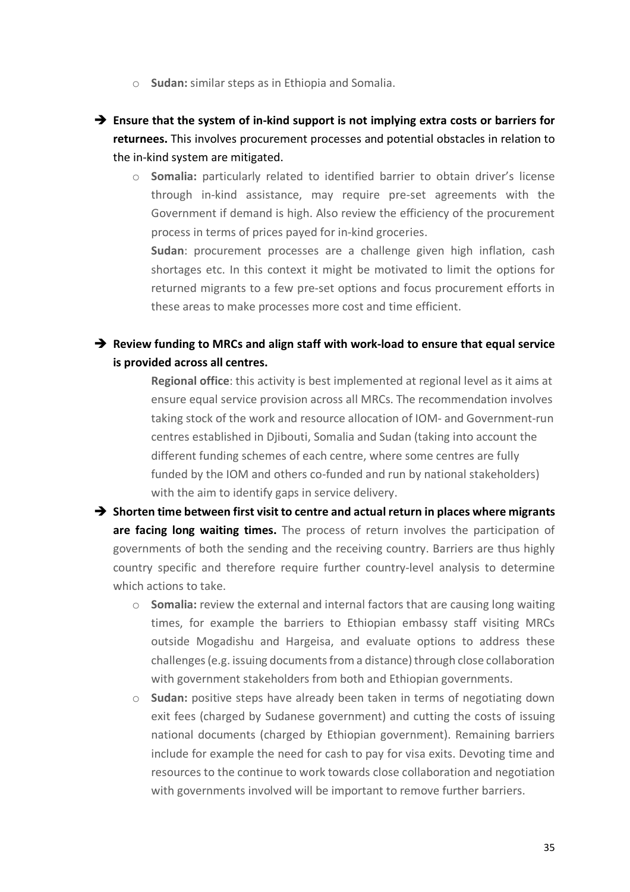- o **Sudan:** similar steps as in Ethiopia and Somalia.
- $\rightarrow$  Ensure that the system of in-kind support is not implying extra costs or barriers for **returnees.** This involves procurement processes and potential obstacles in relation to the in-kind system are mitigated.
	- o **Somalia:** particularly related to identified barrier to obtain driver's license through in-kind assistance, may require pre-set agreements with the Government if demand is high. Also review the efficiency of the procurement process in terms of prices payed for in-kind groceries.

**Sudan**: procurement processes are a challenge given high inflation, cash shortages etc. In this context it might be motivated to limit the options for returned migrants to a few pre-set options and focus procurement efforts in these areas to make processes more cost and time efficient.

### $→$  Review funding to MRCs and align staff with work-load to ensure that equal service **is provided across all centres.**

**Regional office**: this activity is best implemented at regional level as it aims at ensure equal service provision across all MRCs. The recommendation involves taking stock of the work and resource allocation of IOM- and Government-run centres established in Djibouti, Somalia and Sudan (taking into account the different funding schemes of each centre, where some centres are fully funded by the IOM and others co-funded and run by national stakeholders) with the aim to identify gaps in service delivery.

- $→$  Shorten time between first visit to centre and actual return in places where migrants **are facing long waiting times.** The process of return involves the participation of governments of both the sending and the receiving country. Barriers are thus highly country specific and therefore require further country-level analysis to determine which actions to take.
	- o **Somalia:** review the external and internal factors that are causing long waiting times, for example the barriers to Ethiopian embassy staff visiting MRCs outside Mogadishu and Hargeisa, and evaluate options to address these challenges (e.g. issuing documents from a distance) through close collaboration with government stakeholders from both and Ethiopian governments.
	- o **Sudan:** positive steps have already been taken in terms of negotiating down exit fees (charged by Sudanese government) and cutting the costs of issuing national documents (charged by Ethiopian government). Remaining barriers include for example the need for cash to pay for visa exits. Devoting time and resources to the continue to work towards close collaboration and negotiation with governments involved will be important to remove further barriers.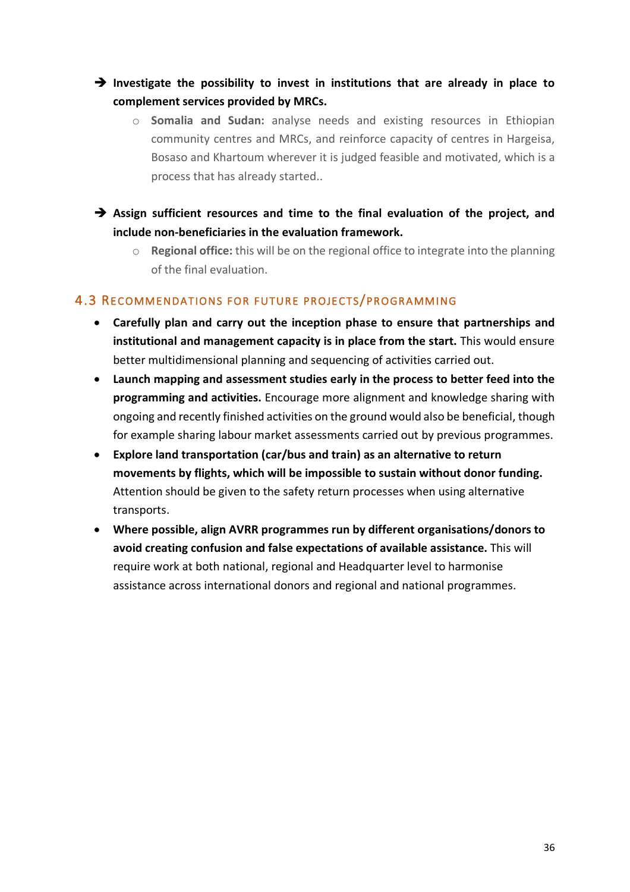- è **Investigate the possibility to invest in institutions that are already in place to complement services provided by MRCs.** 
	- o **Somalia and Sudan:** analyse needs and existing resources in Ethiopian community centres and MRCs, and reinforce capacity of centres in Hargeisa, Bosaso and Khartoum wherever it is judged feasible and motivated, which is a process that has already started..
- è **Assign sufficient resources and time to the final evaluation of the project, and include non-beneficiaries in the evaluation framework.** 
	- o **Regional office:** this will be on the regional office to integrate into the planning of the final evaluation.

### 4.3 RECOMMENDATIONS FOR FUTURE PROJECTS/PROGRAMMING

- **Carefully plan and carry out the inception phase to ensure that partnerships and institutional and management capacity is in place from the start.** This would ensure better multidimensional planning and sequencing of activities carried out.
- **Launch mapping and assessment studies early in the process to better feed into the programming and activities.** Encourage more alignment and knowledge sharing with ongoing and recently finished activities on the ground would also be beneficial, though for example sharing labour market assessments carried out by previous programmes.
- **Explore land transportation (car/bus and train) as an alternative to return movements by flights, which will be impossible to sustain without donor funding.**  Attention should be given to the safety return processes when using alternative transports.
- **Where possible, align AVRR programmes run by different organisations/donors to avoid creating confusion and false expectations of available assistance.** This will require work at both national, regional and Headquarter level to harmonise assistance across international donors and regional and national programmes.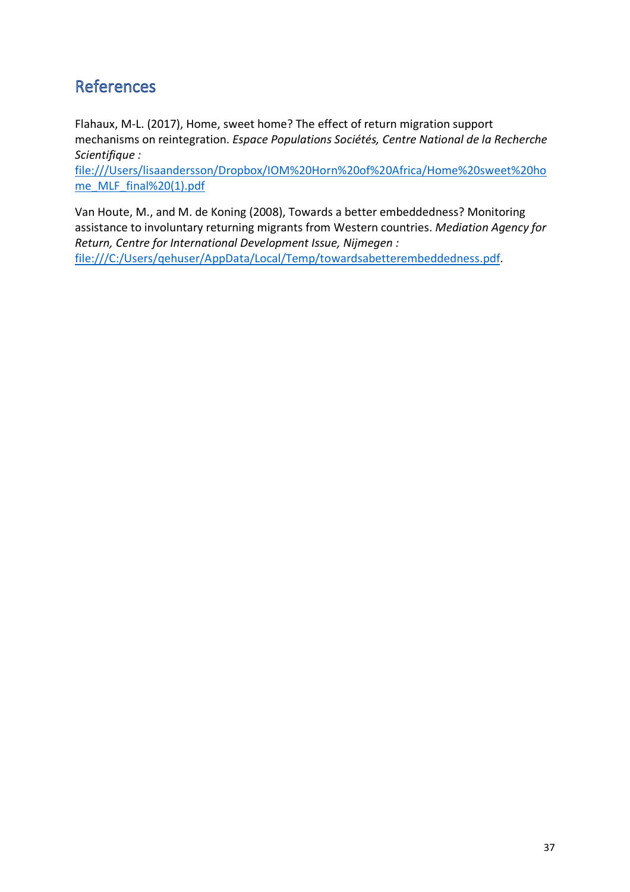# **References**

Flahaux, M-L. (2017), Home, sweet home? The effect of return migration support mechanisms on reintegration. *Espace Populations Sociétés, Centre National de la Recherche Scientifique :* 

file:///Users/lisaandersson/Dropbox/IOM%20Horn%20of%20Africa/Home%20sweet%20ho me\_MLF\_final%20(1).pdf

Van Houte, M., and M. de Koning (2008), Towards a better embeddedness? Monitoring assistance to involuntary returning migrants from Western countries. *Mediation Agency for Return, Centre for International Development Issue, Nijmegen :*  file:///C:/Users/qehuser/AppData/Local/Temp/towardsabetterembeddedness.pdf.